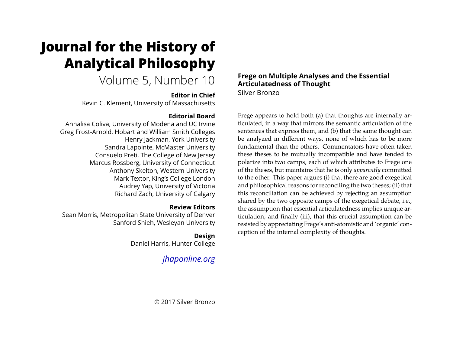# <span id="page-0-0"></span>**Journal for the History of Analytical Philosophy**

## Volume 5, Number 10

## **Editor in Chief**

Kevin C. Klement, University of Massachusetts

## **Editorial Board**

Annalisa Coliva, University of Modena and UC Irvine Greg Frost-Arnold, Hobart and William Smith Colleges Henry Jackman, York University Sandra Lapointe, McMaster University Consuelo Preti, The College of New Jersey Marcus Rossberg, University of Connecticut Anthony Skelton, Western University Mark Textor, King's College London Audrey Yap, University of Victoria Richard Zach, University of Calgary

## **Review Editors**

Sean Morris, Metropolitan State University of Denver Sanford Shieh, Wesleyan University

## **Design**

Daniel Harris, Hunter College

## *[jhaponline.org](https://jhaponline.org)*

## **Frege on Multiple Analyses and the Essential Articulatedness of Thought**

Silver Bronzo

Frege appears to hold both (a) that thoughts are internally articulated, in a way that mirrors the semantic articulation of the sentences that express them, and (b) that the same thought can be analyzed in different ways, none of which has to be more fundamental than the others. Commentators have often taken these theses to be mutually incompatible and have tended to polarize into two camps, each of which attributes to Frege one of the theses, but maintains that he is only *apparently* committed to the other. This paper argues (i) that there are good exegetical and philosophical reasons for reconciling the two theses; (ii) that this reconciliation can be achieved by rejecting an assumption shared by the two opposite camps of the exegetical debate, i.e., the assumption that essential articulatedness implies unique articulation; and finally (iii), that this crucial assumption can be resisted by appreciating Frege's anti-atomistic and 'organic' conception of the internal complexity of thoughts.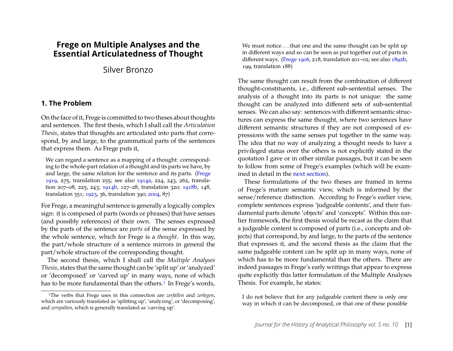## **Frege on Multiple Analyses and the Essential Articulatedness of Thought**

Silver Bronzo

#### <span id="page-1-1"></span>**1. The Problem**

On the face of it, Frege is committed to two theses about thoughts and sentences. The first thesis, which I shall call the *Articulation Thesis*, states that thoughts are articulated into parts that correspond, by and large, to the grammatical parts of the sentences that express them. As Frege puts it,

We can regard a sentence as a mapping of a thought: corresponding to the whole-part relation of a thought and its parts we have, by and large, the same relation for the sentence and its parts. [\(Frege](#page-33-0) [1919,](#page-33-0) 275, translation 255; see also [1914a,](#page-33-1) 224, 243, 262, translation 207–08, 225, 243; [1914b,](#page-33-2) 127–28, translation 320; [1918b,](#page-33-3) 148, translation 351; [1923,](#page-33-4) 36, translation 390; [2004,](#page-33-5) 87)

For Frege, a meaningful sentence is generally a logically complex sign: it is composed of parts (words or phrases) that have senses (and possibly references) of their own. The senses expressed by the parts of the sentence are *parts* of the sense expressed by the whole sentence, which for Frege is a *thought*. In this way, the part/whole structure of a sentence mirrors in general the part/whole structure of the corresponding thought.

The second thesis, which I shall call the *Multiple Analyses Thesis*, states that the same thought can be 'split up' or 'analyzed' or 'decomposed' or 'carved up' in many ways, none of which has to be more fundamental than the others.<sup>1</sup> In Frege's words,

We must notice . . . that one and the same thought can be split up in different ways and so can be seen as put together out of parts in different ways. [\(Frege](#page-33-6) [1906,](#page-33-6) 218, translation 201–02; see also [1892b,](#page-32-0) 199, translation 188)

The same thought can result from the combination of different thought-constituents, i.e., different sub-sentential senses. The analysis of a thought into its parts is not unique: the same thought can be analyzed into different sets of sub-sentential senses. We can also say: sentences with different semantic structures can express the same thought, where two sentences have different semantic structures if they are not composed of expressions with the same senses put together in the same way. The idea that no way of analyzing a thought needs to have a privileged status over the others is not explicitly stated in the quotation I gave or in other similar passages, but it can be seen to follow from some of Frege's examples (which will be examined in detail in the [next section\)](#page-3-0).

These formulations of the two theses are framed in terms of Frege's mature semantic view, which is informed by the sense/reference distinction. According to Frege's earlier view, complete sentences express 'judgeable contents', and their fundamental parts denote 'objects' and 'concepts'. Within this earlier framework, the first thesis would be recast as the claim that a judgeable content is composed of parts (i.e., concepts and objects) that correspond, by and large, to the parts of the sentence that expresses it, and the second thesis as the claim that the same judgeable content can be split up in many ways, none of which has to be more fundamental than the others. There are indeed passages in Frege's early writings that appear to express quite explicitly this latter formulation of the Multiple Analyses Thesis. For example, he states:

I do not believe that for any judgeable content there is only one way in which it can be decomposed, or that one of these possible

<span id="page-1-0"></span><sup>1</sup>The verbs that Frege uses in this connection are *zerfallen* and *zerlegen*, which are variously translated as 'splitting up', 'analyzing', or 'decomposing', and *zerspalten*, which is generally translated as 'carving up'.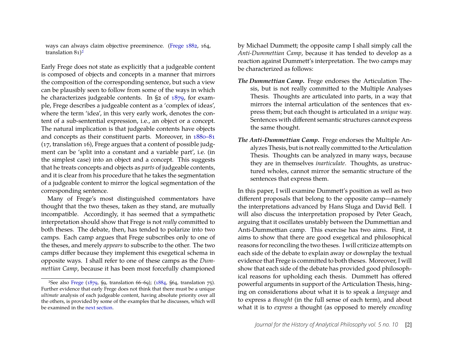ways can always claim objective preeminence. [\(Frege](#page-32-1) [1882,](#page-32-1) 164, translation  $81$ <sup>2</sup>

Early Frege does not state as explicitly that a judgeable content is composed of objects and concepts in a manner that mirrors the composition of the corresponding sentence, but such a view can be plausibly seen to follow from some of the ways in which he characterizes judgeable contents. In §2 of [1879,](#page-32-2) for example, Frege describes a judgeable content as a 'complex of ideas', where the term 'idea', in this very early work, denotes the content of a sub-sentential expression, i.e., an object or a concept. The natural implication is that judgeable contents have objects and concepts as their constituent parts. Moreover, in [1880–81](#page-32-3) (17, translation 16), Frege argues that a content of possible judgment can be 'split into a constant and a variable part', i.e. (in the simplest case) into an object and a concept. This suggests that he treats concepts and objects as *parts* of judgeable contents, and it is clear from his procedure that he takes the segmentation of a judgeable content to mirror the logical segmentation of the corresponding sentence.

Many of Frege's most distinguished commentators have thought that the two theses, taken as they stand, are mutually incompatible. Accordingly, it has seemed that a sympathetic interpretation should show that Frege is not *really* committed to both theses. The debate, then, has tended to polarize into two camps. Each camp argues that Frege subscribes only to one of the theses, and merely *appears* to subscribe to the other. The two camps differ because they implement this exegetical schema in opposite ways. I shall refer to one of these camps as the *Dummettian Camp*, because it has been most forcefully championed

by Michael Dummett; the opposite camp I shall simply call the *Anti-Dummettian Camp*, because it has tended to develop as a reaction against Dummett's interpretation. The two camps may be characterized as follows:

- *The Dummettian Camp***.** Frege endorses the Articulation Thesis, but is not really committed to the Multiple Analyses Thesis. Thoughts are articulated into parts, in a way that mirrors the internal articulation of the sentences that express them; but each thought is articulated in a *unique* way. Sentences with different semantic structures cannot express the same thought.
- *The Anti-Dummettian Camp***.** Frege endorses the Multiple Analyzes Thesis, but is not really committed to the Articulation Thesis. Thoughts can be analyzed in many ways, because they are in themselves *inarticulate*. Thoughts, as unstructured wholes, cannot mirror the semantic structure of the sentences that express them.

In this paper, I will examine Dummett's position as well as two different proposals that belong to the opposite camp—namely the interpretations advanced by Hans Sluga and David Bell. I will also discuss the interpretation proposed by Peter Geach, arguing that it oscillates unstably between the Dummettian and Anti-Dummettian camp. This exercise has two aims. First, it aims to show that there are good exegetical and philosophical reasons for reconciling the two theses. I will criticize attempts on each side of the debate to explain away or downplay the textual evidence that Frege is committed to both theses. Moreover, I will show that each side of the debate has provided good philosophical reasons for upholding each thesis. Dummett has offered powerful arguments in support of the Articulation Thesis, hinging on considerations about what it is to speak a *language* and to express a *thought* (in the full sense of each term), and about what it is to *express* a thought (as opposed to merely *encoding*

<span id="page-2-0"></span><sup>2</sup>See also [Frege](#page-32-2) [\(1879,](#page-32-2) §9, translation 66–69); [\(1884,](#page-32-4) §64, translation 75). Further evidence that early Frege does not think that there must be a unique *ultimate* analysis of each judgeable content, having absolute priority over all the others, is provided by some of the examples that he discusses, which will be examined in the [next section.](#page-3-0)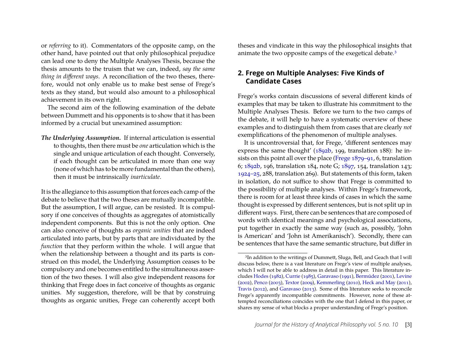or *referring* to it). Commentators of the opposite camp, on the other hand, have pointed out that only philosophical prejudice can lead one to deny the Multiple Analyses Thesis, because the thesis amounts to the truism that we can, indeed, *say the same thing in different ways*. A reconciliation of the two theses, therefore, would not only enable us to make best sense of Frege's texts as they stand, but would also amount to a philosophical achievement in its own right.

The second aim of the following examination of the debate between Dummett and his opponents is to show that it has been informed by a crucial but unexamined assumption:

*The Underlying Assumption***.** If internal articulation is essential to thoughts, then there must be *one* articulation which is the single and unique articulation of each thought. Conversely, if each thought can be articulated in more than one way (none of which has to be more fundamental than the others), then it must be intrinsically *inarticulate*.

It is the allegiance to this assumption that forces each camp of the debate to believe that the two theses are mutually incompatible. But the assumption, I will argue, can be resisted. It is compulsory if one conceives of thoughts as aggregates of atomistically independent components. But this is not the only option. One can also conceive of thoughts as *organic unities* that are indeed articulated into parts, but by parts that are individuated by the *function* that they perform within the whole. I will argue that when the relationship between a thought and its parts is construed on this model, the Underlying Assumption ceases to be compulsory and one becomes entitled to the simultaneous assertion of the two theses. I will also give independent reasons for thinking that Frege does in fact conceive of thoughts as organic unities. My suggestion, therefore, will be that by construing thoughts as organic unities, Frege can coherently accept both theses and vindicate in this way the philosophical insights that animate the two opposite camps of the exegetical debate.<sup>3</sup>

#### <span id="page-3-2"></span>**2. Frege on Multiple Analyses: Five Kinds of Candidate Cases**

<span id="page-3-0"></span>Frege's works contain discussions of several different kinds of examples that may be taken to illustrate his commitment to the Multiple Analyses Thesis. Before we turn to the two camps of the debate, it will help to have a systematic overview of these examples and to distinguish them from cases that are clearly *not* exemplifications of the phenomenon of multiple analyses.

It is uncontroversial that, for Frege, 'different sentences may express the same thought' [\(1892b,](#page-32-0) 199, translation 188): he insists on this point all over the place [\(Frege](#page-32-5) [1879–91,](#page-32-5) 6, translation 6; [1892b,](#page-32-0) 196, translation 184, note G; [1897,](#page-33-7) 154, translation 143; [1924–25,](#page-33-8) 288, translation 269). But statements of this form, taken in isolation, do not suffice to show that Frege is committed to the possibility of multiple analyses. Within Frege's framework, there is room for at least three kinds of cases in which the same thought is expressed by different sentences, but is not split up in different ways. First, there can be sentences that are composed of words with identical meanings and psychological associations, put together in exactly the same way (such as, possibly, 'John is American' and 'John ist Amerikanisch'). Secondly, there can be sentences that have the same semantic structure, but differ in

<span id="page-3-1"></span><sup>&</sup>lt;sup>3</sup>In addition to the writings of Dummett, Sluga, Bell, and Geach that I will discuss below, there is a vast literature on Frege's view of multiple analyses, which I will not be able to address in detail in this paper. This literature includes [Hodes](#page-34-0) [\(1982\)](#page-34-0), [Currie](#page-32-6) [\(1985\)](#page-32-6), [Garavaso](#page-33-9) [\(1991\)](#page-33-9), [Bermúdez](#page-32-7) [\(2001\)](#page-32-7), [Levine](#page-34-1) [\(2002\)](#page-34-1), [Penco](#page-34-2) [\(2003\)](#page-34-2), [Textor](#page-34-3) [\(2009\)](#page-34-3), [Kemmerling](#page-34-4) [\(2010\)](#page-34-4), [Heck and May](#page-34-5) [\(2011\)](#page-34-5), [Travis](#page-34-6) [\(2012\)](#page-34-6), and [Garavaso](#page-33-10) [\(2013\)](#page-33-10). Some of this literature seeks to reconcile Frege's apparently incompatible commitments. However, none of these attempted reconciliations coincides with the one that I defend in this paper, or shares my sense of what blocks a proper understanding of Frege's position.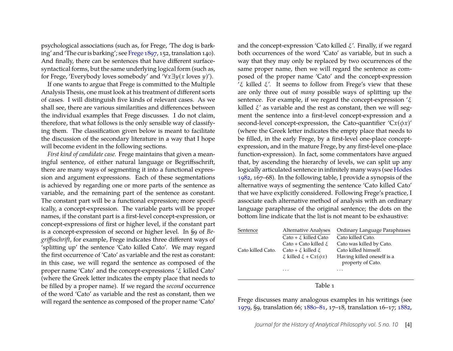psychological associations (such as, for Frege, 'The dog is barking' and 'The cur is barking'; see [Frege](#page-33-7) [1897,](#page-33-7) 152, translation 140). And finally, there can be sentences that have different surfacesyntactical forms, but the same underlying logical form (such as, for Frege, 'Everybody loves somebody' and '∀*x*∃*y*(*x* loves *y*)').

If one wants to argue that Frege is committed to the Multiple Analysis Thesis, one must look at his treatment of different sorts of cases. I will distinguish five kinds of relevant cases. As we shall see, there are various similarities and differences between the individual examples that Frege discusses. I do not claim, therefore, that what follows is the only sensible way of classifying them. The classification given below is meant to facilitate the discussion of the secondary literature in a way that I hope will become evident in the following sections.

*First kind of candidate case.* Frege maintains that given a meaningful sentence, of either natural language or Begriffsschrift, there are many ways of segmenting it into a functional expression and argument expressions. Each of these segmentations is achieved by regarding one or more parts of the sentence as variable, and the remaining part of the sentence as constant. The constant part will be a functional expression; more specifically, a concept-expression. The variable parts will be proper names, if the constant part is a first-level concept-expression, or concept-expressions of first or higher level, if the constant part is a concept-expression of second or higher level. In §9 of *Begriffsschrift*, for example, Frege indicates three different ways of 'splitting up' the sentence 'Cato killed Cato'. We may regard the first occurrence of 'Cato' as variable and the rest as constant: in this case, we will regard the sentence as composed of the proper name 'Cato' and the concept-expressions 'ξ killed Cato' (where the Greek letter indicates the empty place that needs to be filled by a proper name). If we regard the *second* occurrence of the word 'Cato' as variable and the rest as constant, then we will regard the sentence as composed of the proper name 'Cato'

and the concept-expression 'Cato killed  $\xi'$ . Finally, if we regard both occurrences of the word 'Cato' as variable, but in such a way that they may only be replaced by two occurrences of the same proper name, then we will regard the sentence as composed of the proper name 'Cato' and the concept-expression 'ξ killed ξ'. It seems to follow from Frege's view that these are only three out of *many* possible ways of splitting up the sentence. For example, if we regard the concept-expression  $\zeta$ killed  $\xi'$  as variable and the rest as constant, then we will segment the sentence into a first-level concept-expression and a second-level concept-expression, the Cato-quantifier  $Cx(\phi x)$ ' (where the Greek letter indicates the empty place that needs to be filled, in the early Frege, by a first-level one-place conceptexpression, and in the mature Frege, by any first-level one-place function-expression). In fact, some commentators have argued that, by ascending the hierarchy of levels, we can split up any logically articulated sentence in infinitely many ways (see [Hodes](#page-34-0) [1982,](#page-34-0) 167–68). In the following table, I provide a synopsis of the alternative ways of segmenting the sentence 'Cato killed Cato' that we have explicitly considered. Following Frege's practice, I associate each alternative method of analysis with an ordinary language paraphrase of the original sentence; the dots on the bottom line indicate that the list is not meant to be exhaustive:

| Sentence          | Alternative Analyses              | Ordinary Language Paraphrases |
|-------------------|-----------------------------------|-------------------------------|
|                   | Cato + $\xi$ killed Cato          | Cato killed Cato.             |
|                   | Cato + Cato killed $\xi$          | Cato was killed by Cato.      |
| Cato killed Cato. | Cato + $\xi$ killed $\xi$         | Cato killed himself.          |
|                   | $\xi$ killed $\xi$ + $Cx(\phi x)$ | Having killed oneself is a    |
|                   |                                   | property of Cato.             |
|                   | .                                 | .                             |

Table 1

Frege discusses many analogous examples in his writings (see [1979,](#page-33-11) §9, translation 66; [1880–81,](#page-32-3) 17–18, translation 16–17; [1882,](#page-32-1)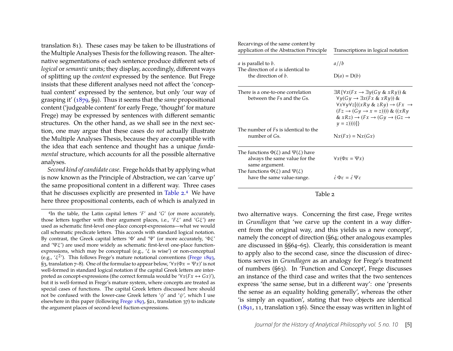translation 81). These cases may be taken to be illustrations of the Multiple Analyses Thesis for the following reason. The alternative segmentations of each sentence produce different sets of *logical* or*semantic* units; they display, accordingly, different ways of splitting up the *content* expressed by the sentence. But Frege insists that these different analyses need not affect the 'conceptual content' expressed by the sentence, but only 'our way of grasping it' [\(1879,](#page-32-2) §9). Thus it seems that the *same* propositional content ('judgeable content' for early Frege, 'thought' for mature Frege) may be expressed by sentences with different semantic structures. On the other hand, as we shall see in the next section, one may argue that these cases do *not* actually illustrate the Multiple Analyses Thesis, because they are compatible with the idea that each sentence and thought has a unique *fundamental* structure, which accounts for all the possible alternative analyses.

*Second kind of candidate case.* Frege holds that by applying what is now known as the Principle of Abstraction, we can 'carve up' the same propositional content in a different way. Three cases that he discusses explicitly are presented in [Table 2.](#page-5-0)[4](#page-5-1) We have here three propositional contents, each of which is analyzed in

| Recarvings of the same content by<br>application of the Abstraction Principle                                                                                                | Transcriptions in logical notation                                                                                                                                                                                                                                                                                                                         |  |
|------------------------------------------------------------------------------------------------------------------------------------------------------------------------------|------------------------------------------------------------------------------------------------------------------------------------------------------------------------------------------------------------------------------------------------------------------------------------------------------------------------------------------------------------|--|
| <i>a</i> is parallel to <i>b</i> .                                                                                                                                           | a//b                                                                                                                                                                                                                                                                                                                                                       |  |
| The direction of a is identical to<br>the direction of b.                                                                                                                    | $D(a) = D(b)$                                                                                                                                                                                                                                                                                                                                              |  |
| There is a one-to-one correlation<br>between the Fs and the Gs.                                                                                                              | $\exists R \{\forall x (Fx \rightarrow \exists y (Gy \& xRy)) \&$<br>$\forall y (Gy \rightarrow \exists x (Fx \& xRy))$ &<br>$\forall x \forall y \forall z [((xRy \& zRy) \rightarrow (Fx \rightarrow$<br>$(Fz \rightarrow (Gy \rightarrow x = z))))$ & $((xRy$<br>& $xRz$ ) $\rightarrow$ $(Fx \rightarrow Gy \rightarrow Gz \rightarrow$<br>$y = z))$ ) |  |
| The number of <i>Fs</i> is identical to the<br>number of Gs.                                                                                                                 | $Nx(Fx) = Nx(Gx)$                                                                                                                                                                                                                                                                                                                                          |  |
| The functions $\Phi(\xi)$ and $\Psi(\xi)$ have<br>always the same value for the<br>same argument.<br>The functions $\Phi(\xi)$ and $\Psi(\xi)$<br>have the same value-range. | $\forall x(\Phi x = \Psi x)$<br>$\vec{\varepsilon} \Phi \varepsilon = \vec{\varepsilon} \Psi \varepsilon$                                                                                                                                                                                                                                                  |  |
|                                                                                                                                                                              |                                                                                                                                                                                                                                                                                                                                                            |  |

Table 2

<span id="page-5-0"></span>two alternative ways. Concerning the first case, Frege writes in *Grundlagen* that 'we carve up the content in a way different from the original way, and this yields us a new concept', namely the concept of direction (§64; other analogous examples are discussed in §§64–65). Clearly, this consideration is meant to apply also to the second case, since the discussion of directions serves in *Grundlagen* as an analogy for Frege's treatment of numbers (§63). In 'Function and Concept', Frege discusses an instance of the third case and writes that the two sentences express 'the same sense, but in a different way': one 'presents the sense as an equality holding generally', whereas the other 'is simply an equation', stating that two objects are identical [\(1891,](#page-32-9) 11, translation 136). Since the essay was written in light of

<span id="page-5-1"></span><sup>4</sup>In the table, the Latin capital letters '*F*' and '*G*' (or more accurately, those letters together with their argument places, i.e., '*F*ξ' and '*G*ξ') are used as schematic first-level one-place concept-expressions—what we would call schematic predicate letters. This accords with standard logical notation. By contrast, the Greek capital letters ' $Φ'$  and ' $Ψ'$  (or more accurately, ' $Φξ'$ and  $'\Psi\xi'$ ) are used more widely as schematic first-level one-place functionexpressions, which may be conceptual (e.g., ' $\xi$  is wise') or non-conceptual (e.g., ' $\xi^{2}$ '). This follows Frege's mature notational conventions [\(Frege](#page-32-8) [1893,](#page-32-8) §3, translation  $7-8$ ). One of the formulae to appear below, ' $\forall x (\Phi x = \Psi x)$ ' is not well-formed in standard logical notation if the capital Greek letters are interpreted as concept-expressions (the correct formula would be ' $\forall x (Fx \leftrightarrow Gx)$ '), but it is well-formed in Frege's mature system, where concepts are treated as special cases of functions. The capital Greek letters discussed here should not be confused with the lower-case Greek letters ' $\phi'$  and ' $\psi'$ , which I use elsewhere in this paper (following [Frege](#page-32-8) [1893,](#page-32-8) §21, translation 37) to indicate the argument places of second-level fuction-expressions.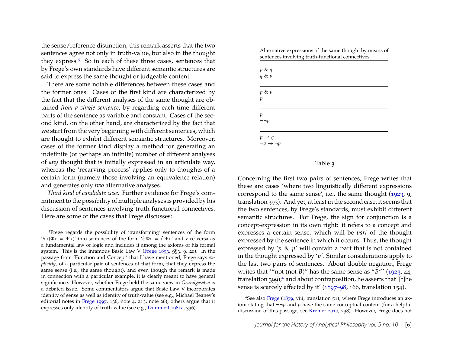the sense/reference distinction, this remark asserts that the two sentences agree not only in truth-value, but also in the thought they express.<sup>5</sup> So in each of these three cases, sentences that by Frege's own standards have different semantic structures are said to express the same thought or judgeable content.

There are some notable differences between these cases and the former ones. Cases of the first kind are characterized by the fact that the different analyses of the same thought are obtained *from a single sentence*, by regarding each time different parts of the sentence as variable and constant. Cases of the second kind, on the other hand, are characterized by the fact that we start from the very beginning with different sentences, which are thought to exhibit different semantic structures. Moreover, cases of the former kind display a method for generating an indefinite (or perhaps an infinite) number of different analyses of *any* thought that is initially expressed in an articulate way, whereas the 'recarving process' applies only to thoughts of a certain form (namely those involving an equivalence relation) and generates only *two* alternative analyses.

*Third kind of candidate case.* Further evidence for Frege's commitment to the possibility of multiple analyses is provided by his discussion of sentences involving truth-functional connectives. Here are some of the cases that Frege discusses:

Alternative expressions of the same thought by means of sentences involving truth-functional connectives

| $\begin{array}{c} p\,\,\&\,\,q\\ q\,\,\&\,\,p \end{array}$ |  |  |
|------------------------------------------------------------|--|--|
| $p$ & $p$                                                  |  |  |
| $\,p\,$                                                    |  |  |
| $\,p\,$                                                    |  |  |
| $\neg\neg p$                                               |  |  |
| $p\rightarrow q$                                           |  |  |
| $\neg q \rightarrow \neg p$                                |  |  |

#### Table 3

<span id="page-6-2"></span>Concerning the first two pairs of sentences, Frege writes that these are cases 'where two linguistically different expressions correspond to the same sense', i.e., the same thought [\(1923,](#page-33-4) 9, translation 393). And yet, at least in the second case, it seems that the two sentences, by Frege's standards, must exhibit different semantic structures. For Frege, the sign for conjunction is a concept-expression in its own right: it refers to a concept and expresses a certain sense, which will be *part* of the thought expressed by the sentence in which it occurs. Thus, the thought expressed by '*p* & *p*' will contain a part that is not contained in the thought expressed by '*p*'. Similar considerations apply to the last two pairs of sentences. About double negation, Frege writes that '"not (not *B*)" has the same sense as "*B*"' [\(1923,](#page-33-4) 44, translation 399);<sup>6</sup> and about contraposition, he asserts that '[t]he sense is scarcely affected by it' [\(1897–98,](#page-33-13) 166, translation 154).

<span id="page-6-0"></span><sup>5</sup>Frege regards the possibility of 'transforming' sentences of the form  $'Vx(Φx = Ψx)'$  into sentences of the form ' $\vec{\epsilon} Φε = \vec{\epsilon} \Psi ε'$  and vice versa as a fundamental law of logic and includes it among the axioms of his formal system. This is the infamous Basic Law V [\(Frege](#page-32-8) [1893,](#page-32-8) §§3, 9, 20). In the passage from 'Function and Concept' that I have mentioned, Frege says *explicitly*, of a particular pair of sentences of that form, that they express the same sense (i.e., the same thought), and even though the remark is made in connection with a particular example, it is clearly meant to have general significance. However, whether Frege held the same view in *Grundgesetze* is a debated issue. Some commentators argue that Basic Law V incorporates identity of sense as well as identity of truth-value (see e.g., Michael Beaney's editorial notes in [Frege](#page-33-12) [1997,](#page-33-12) 136, note 4, 213, note 26); others argue that it expresses only identity of truth-value (see e.g., [Dummett](#page-32-10) [1981a,](#page-32-10) 336).

<span id="page-6-1"></span><sup>&</sup>lt;sup>6</sup>See also [Frege](#page-32-2) ( $1879$ , viii, translation 51), where Frege introduces an axiom stating that  $\neg\neg p$  and  $p$  have the same conceptual content (for a helpful discussion of this passage, see [Kremer](#page-34-7) [2010,](#page-34-7) 238). However, Frege does not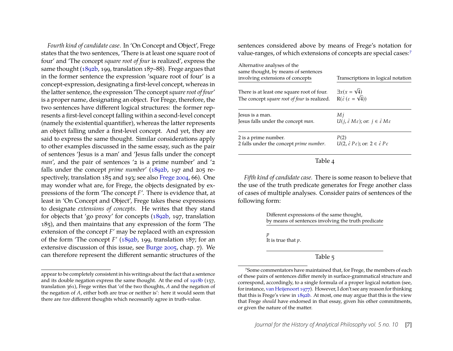*Fourth kind of candidate case*. In 'On Concept and Object', Frege states that the two sentences, 'There is at least one square root of four' and 'The concept *square root of four* is realized', express the same thought [\(1892b,](#page-32-0) 199, translation 187–88). Frege argues that in the former sentence the expression 'square root of four' is a concept-expression, designating a first-level concept, whereas in the latter sentence, the expression 'The concept*square root of four*' is a proper name, designating an object. For Frege, therefore, the two sentences have different logical structures: the former represents a first-level concept falling within a second-level concept (namely the existential quantifier), whereas the latter represents an object falling under a first-level concept. And yet, they are said to express the same thought. Similar considerations apply to other examples discussed in the same essay, such as the pair of sentences 'Jesus is a man' and 'Jesus falls under the concept *man*', and the pair of sentences '2 is a prime number' and '2 falls under the concept *prime number*' [\(1892b,](#page-32-0) 197 and 205 respectively, translation 185 and 193; see also [Frege](#page-33-5) [2004,](#page-33-5) 66). One may wonder what are, for Frege, the objects designated by expressions of the form 'The concept *F*'. There is evidence that, at least in 'On Concept and Object', Frege takes these expressions to designate *extensions of concepts*. He writes that they stand for objects that 'go proxy' for concepts [\(1892b,](#page-32-0) 197, translation 185), and then maintains that any expression of the form 'The extension of the concept *F*' may be replaced with an expression of the form 'The concept *F*' [\(1892b,](#page-32-0) 199, translation 187; for an extensive discussion of this issue, see [Burge](#page-32-11) [2005,](#page-32-11) chap. 7). We can therefore represent the different semantic structures of the sentences considered above by means of Frege's notation for value-ranges, of which extensions of concepts are special cases:<sup>7</sup>

| Alternative analyses of the<br>same thought, by means of sentences |                                                                                       |
|--------------------------------------------------------------------|---------------------------------------------------------------------------------------|
| involving extensions of concepts                                   | Transcriptions in logical notation                                                    |
| There is at least one square root of four.                         | $\exists x(x=\sqrt{4})$                                                               |
| The concept square root of four is realized.                       | $R(\dot{\varepsilon}(\varepsilon = \sqrt{4}))$                                        |
| Jesus is a man.                                                    | Мj                                                                                    |
| Jesus falls under the concept man.                                 | $U(j, \dot{\varepsilon} M \varepsilon)$ ; or: $j \in \dot{\varepsilon} M \varepsilon$ |
| 2 is a prime number.                                               | P(2)                                                                                  |
| 2 falls under the concept <i>prime number</i> .                    | $U(2, \dot{\varepsilon} P \varepsilon)$ ; or: $2 \in \dot{\varepsilon} P \varepsilon$ |

#### Table 4

*Fifth kind of candidate case.* There is some reason to believe that the use of the truth predicate generates for Frege another class of cases of multiple analyses. Consider pairs of sentences of the following form:

> Different expressions of the same thought, by means of sentences involving the truth predicate

*p* It is true that *p*.

Table 5

appear to be completely consistent in his writings about the fact that a sentence and its double negation express the same thought. At the end of [1918b](#page-33-3) (157, translation 361), Frege writes that 'of the two thoughts, *A* and the negation of the negation of *A*, either both are true or neither is': here it would seem that there are *two* different thoughts which necessarily agree in truth-value.

<span id="page-7-0"></span><sup>7</sup>Some commentators have maintained that, for Frege, the members of each of these pairs of sentences differ merely in surface-grammatical structure and correspond, accordingly, to a single formula of a proper logical notation (see, for instance, [van Heijenoort](#page-34-8) [1977\)](#page-34-8). However, I don't see any reason for thinking that this is Frege's view in [1892b.](#page-32-0) At most, one may argue that this is the view that Frege *should* have endorsed in that essay, given his other commitments, or given the nature of the matter.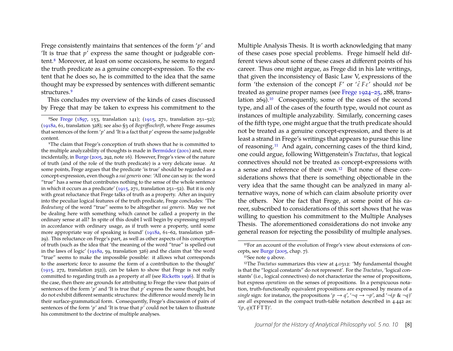Frege consistently maintains that sentences of the form '*p*' and 'It is true that *p*' express the same thought or judgeable content[.8](#page-8-0) Moreover, at least on some occasions, he seems to regard the truth predicate as a genuine concept-expression. To the extent that he does so, he is committed to the idea that the same thought may be expressed by sentences with different semantic structures.<sup>9</sup>

This concludes my overview of the kinds of cases discussed by Frege that may be taken to express his commitment to the

<span id="page-8-1"></span>9The claim that Frege's conception of truth shows that he is committed to the multiple analyzability of thoughts is made in [Bermúdez](#page-32-7) [\(2001\)](#page-32-7) and, more incidentally, in [Burge](#page-32-11) [\(2005,](#page-32-11) 292, note 16). However, Frege's view of the nature of truth (and of the role of the truth predicate) is a very delicate issue. At some points, Frege argues that the predicate 'is true' should be regarded as a concept-expression, even though a *sui generis* one: 'All one can say is: the word "true" has a sense that contributes nothing to the sense of the whole sentence in which it occurs as a predicate' [\(1915,](#page-33-14) 271, translation 251–52). But it is only with great reluctance that Frege talks of truth as a property. After an inquiry into the peculiar logical features of the truth predicate, Frege concludes: 'The *Bedeutung* of the word "true" seems to be altogether *sui generis*. May we not be dealing here with something which cannot be called a property in the ordinary sense at all? In spite of this doubt I will begin by expressing myself in accordance with ordinary usage, as if truth were a property, until some more appropriate way of speaking is found' [\(1918a,](#page-33-15) 61–62, translation 328– 29). This reluctance on Frege's part, as well as other aspects of his conception of truth (such as the idea that 'the meaning of the word "true" is spelled out in the laws of logic' [\(1918a,](#page-33-15) 59, translation 326) and the claim that 'the word "true" seems to make the impossible possible: it allows what corresponds to the assertoric force to assume the form of a contribution to the thought' [\(1915,](#page-33-14) 272, translation 252)), can be taken to show that Frege is not really committed to regarding truth as a property *at all* (see [Ricketts](#page-34-9) [1996\)](#page-34-9). If that is the case, then there are grounds for attributing to Frege the view that pairs of sentences of the form '*p*' and 'It is true that *p*' express the same thought, but do not exhibit different semantic structures: the difference would merely lie in their surface-grammatical form. Consequently, Frege's discussion of pairs of sentences of the form ' $p'$  and 'It is true that  $p'$  could not be taken to illustrate his commitment to the doctrine of multiple analyses.

Multiple Analysis Thesis. It is worth acknowledging that many of these cases pose special problems. Frege himself held different views about some of these cases at different points of his career. Thus one might argue, as Frege did in his late writings, that given the inconsistency of Basic Law V, expressions of the form 'the extension of the concept *F'* or ' $\epsilon$ <sup>2</sup> *F* $\epsilon$ ' should *not* be treated as genuine proper names (see [Frege](#page-33-8) [1924–25,](#page-33-8) 288, translation 269)[.10](#page-8-2) Consequently, some of the cases of the second type, and all of the cases of the fourth type, would not count as instances of multiple analyzability. Similarly, concerning cases of the fifth type, one might argue that the truth predicate should not be treated as a genuine concept-expression, and there is at least a strand in Frege's writings that appears to pursue this line of reasoning[.11](#page-8-3) And again, concerning cases of the third kind, one could argue, following Wittgenstein's *Tractatus*, that logical connectives should not be treated as concept-expressions with a sense and reference of their own[.12](#page-8-4) But none of these considerations shows that there is something objectionable in the very idea that the same thought can be analyzed in many alternative ways, none of which can claim absolute priority over the others. Nor the fact that Frege, at some point of his career, subscribed to considerations of this sort shows that he was willing to question his commitment to the Multiple Analyses Thesis. The aforementioned considerations do not invoke any general reason for rejecting the possibility of multiple analyses.

<span id="page-8-0"></span><sup>8</sup>See [Frege](#page-33-7) [\(1897,](#page-33-7) 153, translation 141); [\(1915,](#page-33-14) 271, translation 251–52); [\(1918a,](#page-33-15) 61, translation 328); see also §3 of *Begriffsschrift*, where Frege assumes that sentences of the form '*p*' and 'It is a fact that *p*' express the same judgeable content.

<span id="page-8-2"></span><sup>10</sup>For an account of the evolution of Frege's view about extensions of concepts, see [Burge](#page-32-11) [\(2005,](#page-32-11) chap. 7).

<span id="page-8-4"></span><span id="page-8-3"></span> $11$ See note  $9$  above.

<sup>12</sup>The *Tractatus* summarizes this view at 4.0312: 'My fundamental thought is that the "logical constants" do not represent'. For the *Tractatus*, 'logical constants' (i.e., logical connectives) do not characterize the sense of propositions, but express *operations* on the senses of propositions. In a perspicuous notation, truth-functionally equivalent propositions are expressed by means of a *single* sign: for instance, the propositions ' $p \rightarrow q'$ , ' $\neg q \rightarrow \neg p'$ , and ' $\neg (p \& \neg q)'$ are *all* expressed in the compact truth-table notation described in 4.442 as:  $'(p,q)(T F T T)'$ .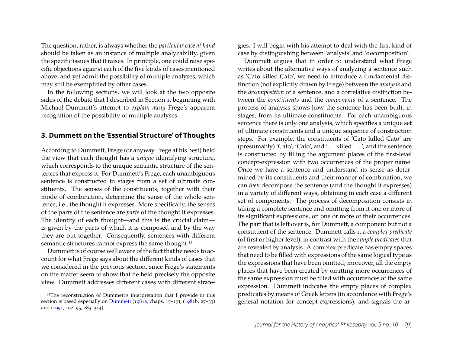The question, rather, is always whether the *particular case at hand* should be taken as an instance of multiple analyzability, given the specific issues that it raises. In principle, one could raise specific objections against each of the five kinds of cases mentioned above, and yet admit the possibility of multiple analyses, which may still be exemplified by other cases.

In the following sections, we will look at the two opposite sides of the debate that I described in Section [1,](#page-1-1) beginning with Michael Dummett's attempt to *explain away* Frege's apparent recognition of the possibility of multiple analyses.

#### **3. Dummett on the 'Essential Structure' of Thoughts**

According to Dummett, Frege (or anyway Frege at his best) held the view that each thought has a *unique* identifying structure, which corresponds to the unique semantic structure of the sentences that express it. For Dummett's Frege, each unambiguous sentence is constructed in stages from a set of ultimate constituents. The senses of the constituents, together with their mode of combination, determine the sense of the whole sentence, i.e., the thought it expresses. More specifically, the senses of the parts of the sentence are *parts* of the thought it expresses. The identity of each thought—and this is the crucial claim is given by the parts of which it is composed and by the way they are put together. Consequently, sentences with different semantic structures cannot express the same thought.<sup>13</sup>

Dummett is of course well aware of the fact that he needs to account for what Frege says about the different kinds of cases that we considered in the previous section, since Frege's statements on the matter seem to show that he held precisely the opposite view. Dummett addresses different cases with different strategies. I will begin with his attempt to deal with the first kind of case by distinguishing between 'analysis' and 'decomposition'.

Dummett argues that in order to understand what Frege writes about the alternative ways of analyzing a sentence such as 'Cato killed Cato', we need to introduce a fundamental distinction (not explicitly drawn by Frege) between the *analysis* and the *decomposition* of a sentence, and a correlative distinction between the *constituents* and the *components* of a sentence. The process of analysis shows how the sentence has been built, in stages, from its ultimate constituents. For each unambiguous sentence there is only one analysis, which specifies a unique set of ultimate constituents and a unique sequence of construction steps. For example, the constituents of 'Cato killed Cato' are (presumably) 'Cato', 'Cato', and '. . . killed . . . ', and the sentence is constructed by filling the argument places of the first-level concept-expression with two occurrences of the proper name. Once we have a sentence and understand its sense as determined by its constituents and their manner of combination, we can *then* decompose the sentence (and the thought it expresses) in a variety of different ways, obtaining in each case a different set of components. The process of decomposition consists in taking a complete sentence and omitting from it one or more of its significant expressions, on one or more of their occurrences. The part that is left over is, for Dummett, a component but not a constituent of the sentence. Dummett calls it a *complex predicate* (of first or higher level), in contrast with the *simple predicates* that are revealed by analysis. A complex predicate has empty spaces that need to be filled with expressions of the same logical type as the expressions that have been omitted; moreover, all the empty places that have been created by omitting more occurrences of the same expression must be filled with occurrences of the same expression. Dummett indicates the empty places of complex predicates by means of Greek letters (in accordance with Frege's general notation for concept-expressions), and signals the ar-

<span id="page-9-0"></span><sup>&</sup>lt;sup>13</sup>The reconstruction of Dummett's interpretation that I provide in this section is based especially on [Dummett](#page-32-10)  $(1981a, \text{chaps. } 15-17)$  $(1981a, \text{chaps. } 15-17)$ ,  $(1981b, 27-33)$  $(1981b, 27-33)$ and [\(1991,](#page-32-13) 192–95, 289–314).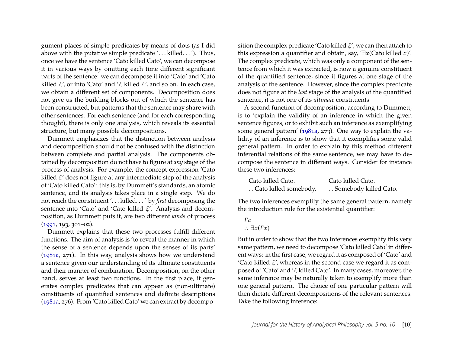gument places of simple predicates by means of dots (as I did above with the putative simple predicate '... killed...'). Thus, once we have the sentence 'Cato killed Cato', we can decompose it in various ways by omitting each time different significant parts of the sentence: we can decompose it into 'Cato' and 'Cato killed ξ', or into 'Cato' and 'ξ killed ξ', and so on. In each case, we obtain a different set of components. Decomposition does not give us the building blocks out of which the sentence has been constructed, but patterns that the sentence may share with other sentences. For each sentence (and for each corresponding thought), there is only one analysis, which reveals its essential structure, but many possible decompositions.

Dummett emphasizes that the distinction between analysis and decomposition should not be confused with the distinction between complete and partial analysis. The components obtained by decomposition do not have to figure at *any* stage of the process of analysis. For example, the concept-expression 'Cato killed  $\xi'$  does not figure at any intermediate step of the analysis of 'Cato killed Cato': this is, by Dummett's standards, an atomic sentence, and its analysis takes place in a single step. We do not reach the constituent '. . . killed. . . ' by *first* decomposing the sentence into 'Cato' and 'Cato killed ξ'. Analysis and decomposition, as Dummett puts it, are two different *kinds* of process [\(1991,](#page-32-13) 193, 301–02).

Dummett explains that these two processes fulfill different functions. The aim of analysis is 'to reveal the manner in which the sense of a sentence depends upon the senses of its parts' [\(1981a,](#page-32-10) 271). In this way, analysis shows how we understand a sentence given our understanding of its ultimate constituents and their manner of combination. Decomposition, on the other hand, serves at least two functions. In the first place, it generates complex predicates that can appear as (non-ultimate) constituents of quantified sentences and definite descriptions [\(1981a,](#page-32-10) 276). From 'Cato killed Cato' we can extract by decomposition the complex predicate 'Cato killed  $\xi$ '; we can then attach to this expression a quantifier and obtain, say, '∃*x*(Cato killed *x*)'. The complex predicate, which was only a component of the sentence from which it was extracted, is now a genuine constituent of the quantified sentence, since it figures at one stage of the analysis of the sentence. However, since the complex predicate does not figure at the *last* stage of the analysis of the quantified sentence, it is not one of its *ultimate* constituents.

A second function of decomposition, according to Dummett, is to 'explain the validity of an inference in which the given sentence figures, or to exhibit such an inference as exemplifying some general pattern' [\(1981a,](#page-32-10) 273). One way to explain the validity of an inference is to show that it exemplifies some valid general pattern. In order to explain by this method different inferential relations of the same sentence, we may have to decompose the sentence in different ways. Consider for instance these two inferences:

| Cato killed Cato.       | Cato killed Cato.       |
|-------------------------|-------------------------|
| : Cato killed somebody. | : Somebody killed Cato. |

The two inferences exemplify the same general pattern, namely the introduction rule for the existential quantifier:

*Fa* ∴  $\exists x(Fx)$ 

But in order to show that the two inferences exemplify this very same pattern, we need to decompose 'Cato killed Cato' in different ways: in the first case, we regard it as composed of 'Cato' and 'Cato killed  $\xi'$ , whereas in the second case we regard it as composed of 'Cato' and 'ξ killed Cato'. In many cases, moreover, the same inference may be naturally taken to exemplify more than one general pattern. The choice of one particular pattern will then dictate different decompositions of the relevant sentences. Take the following inference: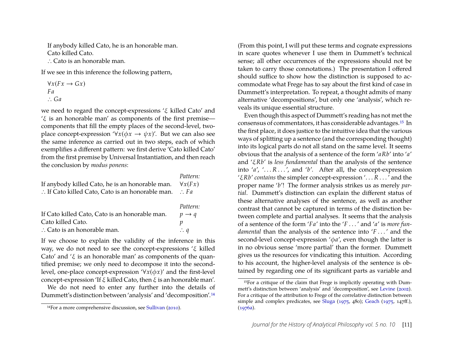If anybody killed Cato, he is an honorable man. Cato killed Cato.

∴ Cato is an honorable man.

If we see in this inference the following pattern,

$$
\forall x (Fx \rightarrow Gx)
$$
  

$$
Fa
$$
  

$$
\therefore Ga
$$

we need to regard the concept-expressions 'ξ killed Cato' and 'ξ is an honorable man' as components of the first premise components that fill the empty places of the second-level, twoplace concept-expression ' $\forall x (\phi x \rightarrow \psi x)'$ . But we can also see the same inference as carried out in two steps, each of which exemplifies a different pattern: we first derive 'Cato killed Cato' from the first premise by Universal Instantiation, and then reach the conclusion by *modus ponens*:

|                                                             | Pattern:          |
|-------------------------------------------------------------|-------------------|
| If anybody killed Cato, he is an honorable man.             | $\forall x(Fx)$   |
| $\therefore$ If Cato killed Cato, Cato is an honorable man. | $\therefore Fa$   |
|                                                             | Pattern:          |
| If Cato killed Cato, Cato is an honorable man.              | $p \rightarrow q$ |
| Cato killed Cato.                                           | р                 |
| $\therefore$ Cato is an honorable man.                      | $\therefore$ q    |

If we choose to explain the validity of the inference in this way, we do not need to see the concept-expressions 'ξ killed Cato' and ' $\xi$  is an honorable man' as components of the quantified premise; we only need to decompose it into the secondlevel, one-place concept-expression ' $\forall x (\phi x)'$  and the first-level concept-expression 'If  $\xi$  killed Cato, then  $\xi$  is an honorable man'.

We do not need to enter any further into the details of Dummett's distinction between 'analysis' and 'decomposition'[.14](#page-11-0)

(From this point, I will put these terms and cognate expressions in scare quotes whenever I use them in Dummett's technical sense; all other occurrences of the expressions should not be taken to carry those connotations.) The presentation I offered should suffice to show how the distinction is supposed to accommodate what Frege has to say about the first kind of case in Dummett's interpretation. To repeat, a thought admits of many alternative 'decompositions', but only one 'analysis', which reveals its unique essential structure.

Even though this aspect of Dummett's reading has not met the consensus of commentators, it has considerable advantages[.15](#page-11-1) In the first place, it does justice to the intuitive idea that the various ways of splitting up a sentence (and the corresponding thought) into its logical parts do not all stand on the same level. It seems obvious that the analysis of a sentence of the form '*aRb*' into '*a*' and 'ξ*Rb*' is *less fundamental* than the analysis of the sentence into ' $a'$ , '...R...', and ' $b'$ . After all, the concept-expression 'ξ*Rb*' *contains* the simpler concept-expression '. . . *R* . . . ' and the proper name '*b*'! The former analysis strikes us as merely *partial*. Dummett's distinction can explain the different status of these alternative analyses of the sentence, as well as another contrast that cannot be captured in terms of the distinction between complete and partial analyses. It seems that the analysis of a sentence of the form '*Fa*' into the '*F* . . . ' and '*a*' is *more fundamental* than the analysis of the sentence into '*F* . . . ' and the second-level concept-expression 'φ*a*', even though the latter is in no obvious sense 'more partial' than the former. Dummett gives us the resources for vindicating this intuition. According to his account, the higher-level analysis of the sentence is obtained by regarding one of its significant parts as variable and

<span id="page-11-0"></span><sup>14</sup>For a more comprehensive discussion, see [Sullivan](#page-34-10) [\(2010\)](#page-34-10).

<span id="page-11-1"></span><sup>15</sup>For a critique of the claim that Frege is implicitly operating with Dummett's distinction between 'analysis' and 'decomposition', see [Levine](#page-34-1) [\(2002\)](#page-34-1). For a critique of the attribution to Frege of the correlative distinction between simple and complex predicates, see [Sluga](#page-34-11) [\(1975,](#page-34-11) 480); [Geach](#page-33-16) [\(1975,](#page-33-16) 147ff.), [\(1976a\)](#page-33-17).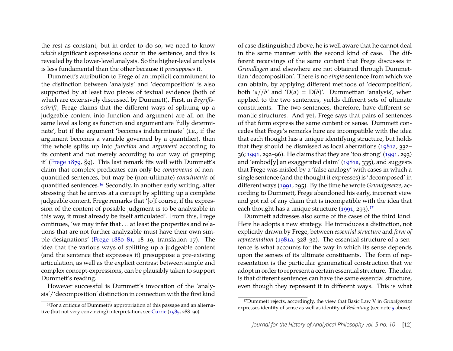the rest as constant; but in order to do so, we need to know *which* significant expressions occur in the sentence, and this is revealed by the lower-level analysis. So the higher-level analysis is less fundamental than the other because it *presupposes* it.

Dummett's attribution to Frege of an implicit commitment to the distinction between 'analysis' and 'decomposition' is also supported by at least two pieces of textual evidence (both of which are extensively discussed by Dummett). First, in *Begriffsschrift*, Frege claims that the different ways of splitting up a judgeable content into function and argument are all on the same level as long as function and argument are 'fully determinate', but if the argument 'becomes indeterminate' (i.e., if the argument becomes a variable governed by a quantifier), then 'the whole splits up into *function* and *argument* according to its content and not merely according to our way of grasping it' [\(Frege](#page-32-2) [1879,](#page-32-2) §9). This last remark fits well with Dummett's claim that complex predicates can only be *components* of nonquantified sentences, but may be (non-ultimate) *constituents* of quantified sentences[.16](#page-12-0) Secondly, in another early writing, after stressing that he arrives at a concept by splitting up a complete judgeable content, Frege remarks that '[o]f course, if the expression of the content of possible judgment is to be analyzable in this way, it must already be itself articulated'. From this, Frege continues, 'we may infer that . . . at least the properties and relations that are not further analyzable must have their own simple designations' [\(Frege](#page-32-3) [1880–81,](#page-32-3) 18–19, translation 17). The idea that the various ways of splitting up a judgeable content (and the sentence that expresses it) presuppose a pre-existing articulation, as well as the explicit contrast between simple and complex concept-expressions, can be plausibly taken to support Dummett's reading.

However successful is Dummett's invocation of the 'analysis'/'decomposition' distinction in connection with the first kind of case distinguished above, he is well aware that he cannot deal in the same manner with the second kind of case. The different recarvings of the same content that Frege discusses in *Grundlagen* and elsewhere are not obtained through Dummettian 'decomposition'. There is no *single* sentence from which we can obtain, by applying different methods of 'decomposition', both ' $a//b'$  and ' $D(a) = D(b)'$ . Dummettian 'analysis', when applied to the two sentences, yields different sets of ultimate constituents. The two sentences, therefore, have different semantic structures. And yet, Frege says that pairs of sentences of that form express the same content or sense. Dummett concedes that Frege's remarks here are incompatible with the idea that each thought has a unique identifying structure, but holds that they should be dismissed as local aberrations [\(1981a,](#page-32-10) 332– 36; [1991,](#page-32-13) 292–96). He claims that they are 'too strong' [\(1991,](#page-32-13) 293) and 'embod[y] an exaggerated claim' [\(1981a,](#page-32-10) 335), and suggests that Frege was misled by a 'false analogy' with cases in which a single sentence (and the thought it expresses) is 'decomposed' in different ways [\(1991,](#page-32-13) 295). By the time he wrote *Grundgesetze*, according to Dummett, Frege abandoned his early, incorrect view and got rid of any claim that is incompatible with the idea that each thought has a unique structure  $(1991, 293)$  $(1991, 293)$ .<sup>17</sup>

Dummett addresses also some of the cases of the third kind. Here he adopts a new strategy. He introduces a distinction, not explicitly drawn by Frege, between *essential structure* and *form of representation* [\(1981a,](#page-32-10) 328–32). The essential structure of a sentence is what accounts for the way in which its sense depends upon the senses of its ultimate constituents. The form of representation is the particular grammatical construction that we adopt in order to represent a certain essential structure. The idea is that different sentences can have the same essential structure, even though they represent it in different ways. This is what

<span id="page-12-0"></span><sup>16</sup>For a critique of Dummett's appropriation of this passage and an alternative (but not very convincing) interpretation, see [Currie](#page-32-6) [\(1985,](#page-32-6) 288–90).

<span id="page-12-1"></span><sup>17</sup>Dummett rejects, accordingly, the view that Basic Law V in *Grundgesetze* expresses identity of sense as well as identity of *Bedeutung* (see note [5](#page-6-0) above).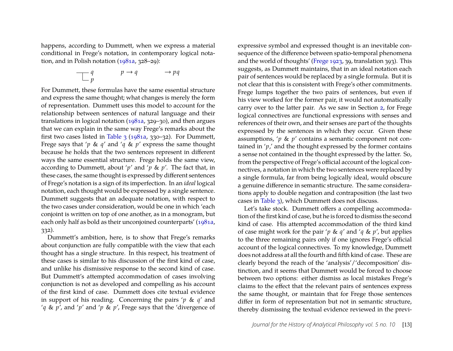happens, according to Dummett, when we express a material conditional in Frege's notation, in contemporary logical notation, and in Polish notation [\(1981a,](#page-32-10) 328–29):

$$
\begin{array}{ccc}\nq & & p \to q & & \to pq \\
p & & & & \n\end{array}
$$

For Dummett, these formulas have the same essential structure and express the same thought; what changes is merely the form of representation. Dummett uses this model to account for the relationship between sentences of natural language and their translations in logical notation [\(1981a,](#page-32-10) 329–30), and then argues that we can explain in the same way Frege's remarks about the first two cases listed in [Table 3](#page-6-2) [\(1981a,](#page-32-10) 330–32). For Dummett, Frege says that '*p* & *q*' and '*q* & *p*' express the same thought because he holds that the two sentences represent in different ways the same essential structure. Frege holds the same view, according to Dummett, about '*p*' and '*p* & *p*'. The fact that, in these cases, the same thought is expressed by different sentences of Frege's notation is a sign of its imperfection. In an *ideal* logical notation, each thought would be expressed by a single sentence. Dummett suggests that an adequate notation, with respect to the two cases under consideration, would be one in which 'each conjoint is written on top of one another, as in a monogram, but each only half as bold as their unconjoined counterparts' [\(1981a,](#page-32-10) 332).

Dummett's ambition, here, is to show that Frege's remarks about conjunction are fully compatible with the view that each thought has a single structure. In this respect, his treatment of these cases is similar to his discussion of the first kind of case, and unlike his dismissive response to the second kind of case. But Dummett's attempted accommodation of cases involving conjunction is not as developed and compelling as his account of the first kind of case. Dummett does cite textual evidence in support of his reading. Concerning the pairs '*p* & *q*' and '*q* & *p*', and '*p*' and '*p* & *p*', Frege says that the 'divergence of

expressive symbol and expressed thought is an inevitable consequence of the difference between spatio-temporal phenomena and the world of thoughts' [\(Frege](#page-33-4) [1923,](#page-33-4) 39, translation 393). This suggests, as Dummett maintains, that in an ideal notation each pair of sentences would be replaced by a single formula. But it is not clear that this is consistent with Frege's other commitments. Frege lumps together the two pairs of sentences, but even if his view worked for the former pair, it would not automatically carry over to the latter pair. As we saw in Section [2,](#page-3-2) for Frege logical connectives are functional expressions with senses and references of their own, and their senses are part of the thoughts expressed by the sentences in which they occur. Given these assumptions, '*p* & *p*' contains a semantic component not contained in 'p' and the thought expressed by the former contains a sense not contained in the thought expressed by the latter. So, from the perspective of Frege's official account of the logical connectives, a notation in which the two sentences were replaced by a single formula, far from being logically ideal, would obscure a genuine difference in semantic structure. The same considerations apply to double negation and contraposition (the last two cases in [Table 3\)](#page-6-2), which Dummett does not discuss.

Let's take stock. Dummett offers a compelling accommodation of the first kind of case, but he is forced to dismiss the second kind of case. His attempted accommodation of the third kind of case might work for the pair '*p* & *q*' and '*q* & *p*', but applies to the three remaining pairs only if one ignores Frege's official account of the logical connectives. To my knowledge, Dummett does not address at all the fourth and fifth kind of case. These are clearly beyond the reach of the 'analysis'/'decomposition' distinction, and it seems that Dummett would be forced to choose between two options: either dismiss as local mistakes Frege's claims to the effect that the relevant pairs of sentences express the same thought, or maintain that for Frege those sentences differ in form of representation but not in semantic structure, thereby dismissing the textual evidence reviewed in the previ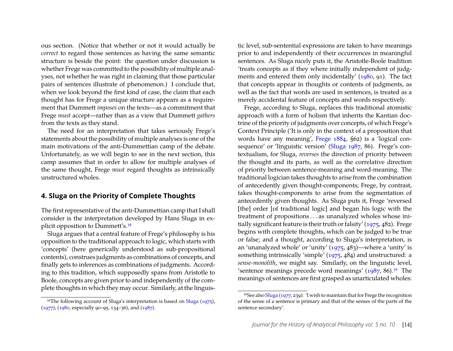ous section. (Notice that whether or not it would actually be *correct* to regard those sentences as having the same semantic structure is beside the point: the question under discussion is whether Frege was committed to the possibility of multiple analyses, not whether he was right in claiming that those particular pairs of sentences illustrate of phenomenon.) I conclude that, when we look beyond the first kind of case, the claim that each thought has for Frege a unique structure appears as a requirement that Dummett *imposes* on the texts—as a commitment that Frege *must* accept—rather than as a view that Dummett *gathers* from the texts as they stand.

The need for an interpretation that takes seriously Frege's statements about the possibility of multiple analyses is one of the main motivations of the anti-Dummettian camp of the debate. Unfortunately, as we will begin to see in the next section, this camp assumes that in order to allow for multiple analyses of the same thought, Frege *must* regard thoughts as intrinsically unstructured wholes.

#### <span id="page-14-2"></span>**4. Sluga on the Priority of Complete Thoughts**

The first representative of the anti-Dummettian camp that I shall consider is the interpretation developed by Hans Sluga in explicit opposition to Dummett's[.18](#page-14-0)

Sluga argues that a central feature of Frege's philosophy is his opposition to the traditional approach to logic, which starts with 'concepts' (here generically understood as sub-propositional contents), construes judgments as combinations of concepts, and finally gets to inferences as combinations of judgments. According to this tradition, which supposedly spans from Aristotle to Boole, concepts are given prior to and independently of the complete thoughts in which they may occur. Similarly, at the linguistic level, sub-sentential expressions are taken to have meanings prior to and independently of their occurrences in meaningful sentences. As Sluga nicely puts it, the Aristotle-Boole tradition 'treats concepts as if they where initially independent of judgments and entered them only incidentally' [\(1980,](#page-34-13) 91). The fact that concepts appear in thoughts or contents of judgments, as well as the fact that words are used in sentences, is treated as a merely accidental feature of concepts and words respectively.

Frege, according to Sluga, replaces this traditional atomistic approach with a form of holism that inherits the Kantian doctrine of the priority of judgments over concepts, of which Frege's Context Principle ('It is only in the context of a proposition that words have any meaning', [Frege](#page-32-4) [1884,](#page-32-4) §62) is a 'logical consequence' or 'linguistic version' [\(Sluga](#page-34-14) [1987,](#page-34-14) 86). Frege's contextualism, for Sluga, *reverses* the direction of priority between the thought and its parts, as well as the correlative direction of priority between sentence-meaning and word-meaning. The traditional logician takes thoughts to arise from the combination of antecedently given thought-components; Frege, by contrast, takes thought-components to arise from the segmentation of antecedently given thoughts. As Sluga puts it, Frege 'reversed [the] order [of traditional logic] and began his logic with the treatment of propositions . . . as unanalyzed wholes whose initially significant feature is their truth or falsity' [\(1975,](#page-34-11) 482). Frege begins with complete thoughts, which can be judged to be true or false; and a thought, according to Sluga's interpretation, is an 'unanalyzed whole' or 'unity' [\(1975,](#page-34-11) 483)—where a 'unity' is something intrinsically 'simple' [\(1975,](#page-34-11) 484) and unstructured: a *sense-monolith*, we might say. Similarly, on the linguistic level, 'sentence meanings precede word meanings'  $(1987, 86)$  $(1987, 86)$ .<sup>19</sup> The meanings of sentences are first grasped as unarticulated wholes:

<span id="page-14-0"></span><sup>&</sup>lt;sup>18</sup>The following account of [Sluga](#page-34-11)'s interpretation is based on Sluga [\(1975\)](#page-34-11), [\(1977\)](#page-34-12), [\(1980,](#page-34-13) especially 90–95, 134–36), and [\(1987\)](#page-34-14).

<span id="page-14-1"></span><sup>19</sup>See also [Sluga](#page-34-12) [\(1977,](#page-34-12) 239): 'I wish to maintain that for Frege the recognition of the sense of a sentence is primary and that of the senses of the parts of the sentence secondary'.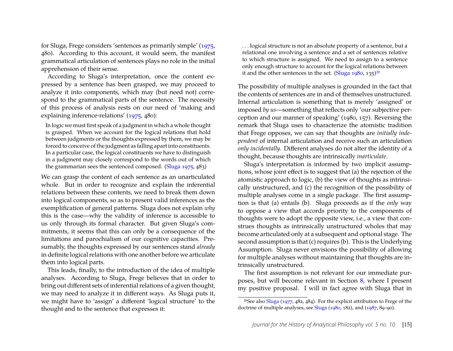for Sluga, Frege considers 'sentences as primarily simple' [\(1975,](#page-34-11) 480). According to this account, it would seem, the manifest grammatical articulation of sentences plays no role in the initial apprehension of their sense.

According to Sluga's interpretation, once the content expressed by a sentence has been grasped, we may proceed to analyze it into components, which may (but need not) correspond to the grammatical parts of the sentence. The necessity of this process of analysis rests on our need of 'making and explaining inference-relations' [\(1975,](#page-34-11) 480):

In logic we must first speak of a judgment in which a whole thought is grasped. When we account for the logical relations that hold between judgments or the thoughts expressed by them, we may be forced to conceive of the judgment as falling apart into constituents. In a particular case, the logical constituents we have to distinguish in a judgment may closely correspond to the words out of which the grammarian sees the sentenced composed. [\(Sluga](#page-34-11) [1975,](#page-34-11) 483)

We can grasp the content of each sentence as an unarticulated whole. But in order to recognize and explain the inferential relations between these contents, we need to break them down into logical components, so as to present valid inferences as the exemplification of general patterns. Sluga does not explain *why* this is the case—why the validity of inference is accessible to us only through its formal character. But given Sluga's commitments, it seems that this can only be a consequence of the limitations and parochialism of our cognitive capacities. Presumably, the thoughts expressed by our sentences stand *already* in definite logical relations with one another before we articulate them into logical parts.

This leads, finally, to the introduction of the idea of multiple analyses. According to Sluga, Frege believes that in order to bring out different sets of inferential relations of a given thought, we may need to analyze it in different ways. As Sluga puts it, we might have to 'assign' a different 'logical structure' to the thought and to the sentence that expresses it:

. . . logical structure is not an absolute property of a sentence, but a relational one involving a sentence and a set of sentences relative to which structure is assigned. We need to assign to a sentence only enough structure to account for the logical relations between it and the other sentences in the set. [\(Sluga](#page-34-13)  $1980, 135$  $1980, 135$ )<sup>20</sup>

The possibility of multiple analyses is grounded in the fact that the contents of sentences are in and of themselves unstructured. Internal articulation is something that is merely 'assigned' or imposed *by us*—something that reflects only 'our subjective perception and our manner of speaking' (1980, 157). Reversing the remark that Sluga uses to characterize the atomistic tradition that Frege opposes, we can say that thoughts are *initially independent* of internal articulation and receive such an articulation *only incidentally*. Different analyses do not alter the identity of a thought, because thoughts are intrinsically *inarticulate*.

Sluga's interpretation is informed by two implicit assumptions, whose joint effect is to suggest that (a) the rejection of the atomistic approach to logic, (b) the view of thoughts as intrinsically unstructured, and (c) the recognition of the possibility of multiple analyses come in a single package. The first assumption is that (a) entails (b). Sluga proceeds as if the *only* way to oppose a view that accords priority to the components of thoughts were to adopt the opposite view, i.e., a view that construes thoughts as intrinsically unstructured wholes that may become articulated only at a subsequent and optional stage. The second assumption is that (c) requires (b). This is the Underlying Assumption. Sluga never envisions the possibility of allowing for multiple analyses without maintaining that thoughts are intrinsically unstructured.

The first assumption is not relevant for our immediate purposes, but will become relevant in Section [8,](#page-24-0) where I present my positive proposal. I will in fact agree with Sluga that in

<span id="page-15-0"></span><sup>20</sup>See also [Sluga](#page-34-12) [\(1977,](#page-34-12) 482, 484). For the explicit attribution to Frege of the doctrine of multiple analyses, see [Sluga](#page-34-13) [\(1980,](#page-34-13) 182), and [\(1987,](#page-34-14) 89–90).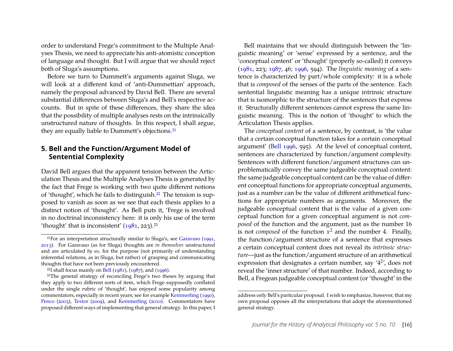order to understand Frege's commitment to the Multiple Analyses Thesis, we need to appreciate his anti-atomistic conception of language and thought. But I will argue that we should reject both of Sluga's assumptions.

Before we turn to Dummett's arguments against Sluga, we will look at a different kind of 'anti-Dummettian' approach, namely the proposal advanced by David Bell. There are several substantial differences between Sluga's and Bell's respective accounts. But in spite of these differences, they share the idea that the possibility of multiple analyses rests on the intrinsically unstructured nature of thoughts. In this respect, I shall argue, they are equally liable to Dummett's objections.<sup>21</sup>

#### **5. Bell and the Function/Argument Model of Sentential Complexity**

David Bell argues that the apparent tension between the Articulation Thesis and the Multiple Analyses Thesis is generated by the fact that Frege is working with two quite different notions of 'thought', which he fails to distinguish[.22](#page-16-1) The tension is supposed to vanish as soon as we see that each thesis applies to a distinct notion of 'thought'. As Bell puts it, 'Frege is involved in no doctrinal inconsistency here: it is only his use of the term 'thought' that is inconsistent'  $(1981, 223).^{23}$  $(1981, 223).^{23}$ 

Bell maintains that we should distinguish between the 'linguistic meaning' or 'sense' expressed by a sentence, and the 'conceptual content' or 'thought' (properly so-called) it conveys [\(1981,](#page-32-14) 223; [1987,](#page-32-15) 46; [1996,](#page-32-16) 594). The *linguistic meaning* of a sentence is characterized by part/whole complexity: it is a whole that is *composed* of the senses of the parts of the sentence. Each sentential linguistic meaning has a unique intrinsic structure that is isomorphic to the structure of the sentences that express it. Structurally different sentences cannot express the same linguistic meaning. This is the notion of 'thought' to which the Articulation Thesis applies.

The *conceptual content* of a sentence, by contrast, is 'the value that a certain conceptual function takes for a certain conceptual argument' [\(Bell](#page-32-16) [1996,](#page-32-16) 595). At the level of conceptual content, sentences are characterized by function/argument complexity. Sentences with different function/argument structures can unproblematically convey the same judgeable conceptual content: the same judgeable conceptual content can be the value of different conceptual functions for appropriate conceptual arguments, just as a number can be the value of different arithmetical functions for appropriate numbers as arguments. Moreover, the judgeable conceptual content that is the value of a given conceptual function for a given conceptual argument is not *composed* of the function and the argument, just as the number 16 is not *composed* of the function  $x^2$  and the number 4. Finally, the function/argument structure of a sentence that expresses a certain conceptual content does not reveal its *intrinsic structure*—just as the function/argument structure of an arithmetical expression that designates a certain number, say  $'4^{2'}$ , does not reveal the 'inner structure' of that number. Indeed, according to Bell, a Fregean judgeable conceptual content (or 'thought' in the

<span id="page-16-0"></span> $21$ For an interpretation structurally similar to Sluga's, see [Garavaso](#page-33-9) [\(1991,](#page-33-9) [2013\)](#page-33-10). For Garavaso (as for Sluga) thoughts are *in themselves* unstructured and are articulated *by us*, for the purpose (not primarily of understanding inferential relations, as in Sluga, but rather) of grasping and communicating thoughts that have not been previously encountered.

<span id="page-16-2"></span><span id="page-16-1"></span><sup>&</sup>lt;sup>22</sup>I shall focus mainly on [Bell](#page-32-14) [\(1981\)](#page-32-14), [\(1987\)](#page-32-15), and [\(1996\)](#page-32-16).

<sup>23</sup>The general strategy of reconciling Frege's two theses by arguing that they apply to two different sorts of item, which Frege supposedly conflated under the single rubric of 'thought', has enjoyed some popularity among commentators, especially in recent years; see for example [Kemmerling](#page-34-15) [\(1990\)](#page-34-15), [Penco](#page-34-2) [\(2003\)](#page-34-2), [Textor](#page-34-3) [\(2009\)](#page-34-3), and [Kemmerling](#page-34-4) [\(2010\)](#page-34-4). Commentators have proposed different ways of implementing that general strategy. In this paper, I

address only Bell's particular proposal. I wish to emphasize, however, that my own proposal opposes all the interpretations that adopt the aforementioned general strategy.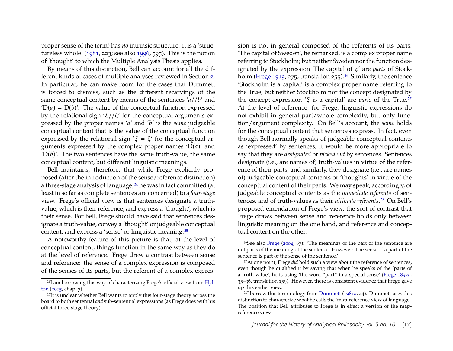proper sense of the term) has *no* intrinsic structure: it is a 'structureless whole' [\(1981,](#page-32-14) 223; see also [1996,](#page-32-16) 595). This is the notion of 'thought' to which the Multiple Analysis Thesis applies.

By means of this distinction, Bell can account for all the different kinds of cases of multiple analyses reviewed in Section [2.](#page-3-2) In particular, he can make room for the cases that Dummett is forced to dismiss, such as the different recarvings of the same conceptual content by means of the sentences '*a*//*b*' and  $'D(a) = D(b)$ . The value of the conceptual function expressed by the relational sign ' $\xi$ //ζ' for the conceptual arguments expressed by the proper names '*a*' and '*b*' is the *same* judgeable conceptual content that is the value of the conceptual function expressed by the relational sign ' $\xi = \zeta'$  for the conceptual arguments expressed by the complex proper names  $'D(a)$ ' and  $'D(b)'$ . The two sentences have the same truth-value, the same conceptual content, but different linguistic meanings.

Bell maintains, therefore, that while Frege explicitly proposed (after the introduction of the sense/reference distinction) a three-stage analysis of language,<sup>24</sup> he was in fact committed (at least in so far as complete sentences are concerned) to a *four-stage* view. Frege's official view is that sentences designate a truthvalue, which is their reference, and express a 'thought', which is their sense. For Bell, Frege should have said that sentences designate a truth-value, convey a 'thought' or judgeable conceptual content, and express a 'sense' or linguistic meaning[.25](#page-17-1)

A noteworthy feature of this picture is that, at the level of conceptual content, things function in the same way as they do at the level of reference. Frege drew a contrast between sense and reference: the sense of a complex expression is composed of the senses of its parts, but the referent of a complex expression is not in general composed of the referents of its parts. 'The capital of Sweden', he remarked, is a complex proper name referring to Stockholm; but neither Sweden nor the function designated by the expression 'The capital of ξ' are *parts* of Stock-holm [\(Frege](#page-33-0) [1919,](#page-33-0) 275, translation 255).<sup>26</sup> Similarly, the sentence 'Stockholm is a capital' is a complex proper name referring to the True; but neither Stockholm nor the concept designated by the concept-expression ' $\xi$  is a capital' are *parts* of the True.<sup>27</sup> At the level of reference, for Frege, linguistic expressions do not exhibit in general part/whole complexity, but only function/argument complexity. On Bell's account, the *same* holds for the conceptual content that sentences express. In fact, even though Bell normally speaks of judgeable conceptual contents as 'expressed' by sentences, it would be more appropriate to say that they are *designated* or *picked out* by sentences. Sentences designate (i.e., are names of) truth-values in virtue of the reference of their parts; and similarly, they designate (i.e., are names of) judgeable conceptual contents or 'thoughts' in virtue of the conceptual content of their parts. We may speak, accordingly, of judgeable conceptual contents as the *immediate referents* of sentences, and of truth-values as their *ultimate referents*[.28](#page-17-4) On Bell's proposed emendation of Frege's view, the sort of contrast that Frege draws between sense and reference holds only between linguistic meaning on the one hand, and reference and conceptual content on the other.

<span id="page-17-0"></span><sup>&</sup>lt;sup>24</sup>I am borrowing this way of characterizing Frege's official view from [Hyl](#page-34-16)[ton](#page-34-16) [\(2005,](#page-34-16) chap. 7).

<span id="page-17-1"></span><sup>25</sup>It is unclear whether Bell wants to apply this four-stage theory across the board to both sentential *and* sub-sentential expressions (as Frege does with his official three-stage theory).

<span id="page-17-2"></span><sup>&</sup>lt;sup>26</sup>See also [Frege](#page-33-5) [\(2004,](#page-33-5) 87): 'The meanings of the part of the sentence are not parts of the meaning of the sentence. However: The sense of a part of the sentence is part of the sense of the sentence.'

<span id="page-17-3"></span><sup>27</sup>At one point, Frege *did* hold such a view about the reference of sentences, even though he qualified it by saying that when he speaks of the 'parts of a truth-value', he is using 'the word "part" in a special sense' [\(Frege](#page-32-17) [1892a,](#page-32-17) 35–36, translation 159). However, there is consistent evidence that Frege gave up this earlier view.

<span id="page-17-4"></span><sup>28</sup>I borrow this terminology from [Dummett](#page-32-10) [\(1981a,](#page-32-10) 44). Dummett uses this distinction to characterize what he calls the 'map-reference view of language'. The position that Bell attributes to Frege is in effect a version of the mapreference view.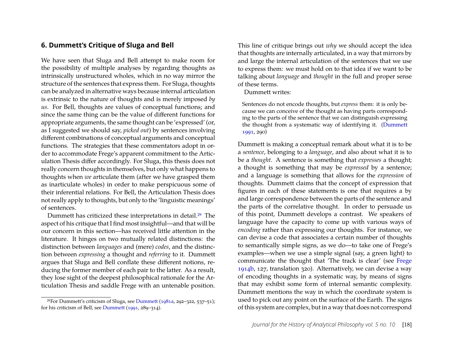### **6. Dummett's Critique of Sluga and Bell**

We have seen that Sluga and Bell attempt to make room for the possibility of multiple analyses by regarding thoughts as intrinsically unstructured wholes, which in no way mirror the structure of the sentences that express them. For Sluga, thoughts can be analyzed in alternative ways because internal articulation is extrinsic to the nature of thoughts and is merely imposed *by us*. For Bell, thoughts are values of conceptual functions; and since the same thing can be the value of different functions for appropriate arguments, the same thought can be 'expressed' (or, as I suggested we should say, *picked out*) by sentences involving different combinations of conceptual arguments and conceptual functions. The strategies that these commentators adopt in order to accommodate Frege's apparent commitment to the Articulation Thesis differ accordingly. For Sluga, this thesis does not really concern thoughts in themselves, but only what happens to thoughts when *we* articulate them (after we have grasped them as inarticulate wholes) in order to make perspicuous some of their inferential relations. For Bell, the Articulation Thesis does not really apply to thoughts, but only to the 'linguistic meanings' of sentences.

Dummett has criticized these interpretations in detail[.29](#page-18-0) The aspect of his critique that I find most insightful—and that will be our concern in this section—has received little attention in the literature. It hinges on two mutually related distinctions: the distinction between *languages* and (mere) *codes*, and the distinction between *expressing* a thought and *referring* to it. Dummett argues that Sluga and Bell conflate these different notions, reducing the former member of each pair to the latter. As a result, they lose sight of the deepest philosophical rationale for the Articulation Thesis and saddle Frege with an untenable position. This line of critique brings out *why* we should accept the idea that thoughts are internally articulated, in a way that mirrors by and large the internal articulation of the sentences that we use to express them: we must hold on to that idea if we want to be talking about *language* and *thought* in the full and proper sense of these terms.

Dummett writes:

Sentences do not encode thoughts, but *express* them: it is only because we can conceive of the thought as having parts corresponding to the parts of the sentence that we can distinguish expressing the thought from a systematic way of identifying it. [\(Dummett](#page-32-13) [1991,](#page-32-13) 290)

Dummett is making a conceptual remark about what it is to be a *sentence*, belonging to a *language*, and also about what it is to be a *thought*. A sentence is something that *expresses* a thought; a thought is something that may be *expressed* by a sentence; and a language is something that allows for the *expression* of thoughts. Dummett claims that the concept of expression that figures in each of these statements is one that requires a by and large correspondence between the parts of the sentence and the parts of the correlative thought. In order to persuade us of this point, Dummett develops a contrast. We speakers of language have the capacity to come up with various ways of *encoding* rather than expressing our thoughts. For instance, we can devise a code that associates a certain number of thoughts to semantically simple signs, as we do—to take one of Frege's examples—when we use a simple signal (say, a green light) to communicate the thought that 'The track is clear' (see [Frege](#page-33-2) [1914b,](#page-33-2) 127, translation 320). Alternatively, we can devise a way of encoding thoughts in a systematic way, by means of signs that may exhibit some form of internal semantic complexity. Dummett mentions the way in which the coordinate system is used to pick out any point on the surface of the Earth. The signs of this system are complex, but in a way that does not correspond

<span id="page-18-0"></span><sup>29</sup>For Dummett's criticism of Sluga, see [Dummett](#page-32-10) [\(1981a,](#page-32-10) 292–322, 537–51); for his criticism of Bell, see [Dummett](#page-32-13) [\(1991,](#page-32-13) 289–314).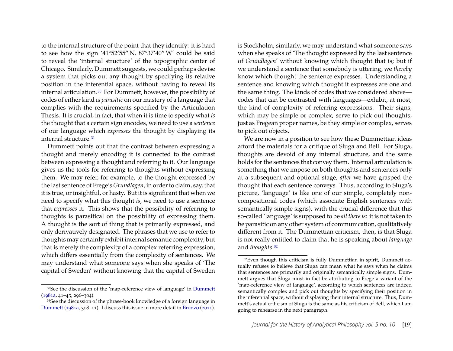to the internal structure of the point that they identify: it is hard to see how the sign '41°52'55" N,  $87^{\circ}37'40''$  W' could be said to reveal the 'internal structure' of the topographic center of Chicago. Similarly, Dummett suggests, we could perhaps devise a system that picks out any thought by specifying its relative position in the inferential space, without having to reveal its internal articulation[.30](#page-19-0) For Dummett, however, the possibility of codes of either kind is *parasitic* on our mastery of a language that complies with the requirements specified by the Articulation Thesis. It is crucial, in fact, that when it is time to specify what *is* the thought that a certain sign encodes, we need to use a *sentence* of our language which *expresses* the thought by displaying its internal structure[.31](#page-19-1)

Dummett points out that the contrast between expressing a thought and merely encoding it is connected to the contrast between expressing a thought and referring to it. Our language gives us the tools for referring to thoughts without expressing them. We may refer, for example, to the thought expressed by the last sentence of Frege's *Grundlagen*, in order to claim, say, that it is true, or insightful, or hasty. But it is significant that when we need to specify what this thought *is*, we need to use a sentence that *expresses* it. This shows that the possibility of referring to thoughts is parasitical on the possibility of expressing them. A thought is the sort of thing that is primarily expressed, and only derivatively designated. The phrases that we use to refer to thoughts may certainly exhibit internal semantic complexity; but that is merely the complexity of a complex referring expression, which differs essentially from the complexity of sentences. We may understand what someone says when she speaks of 'The capital of Sweden' without knowing that the capital of Sweden is Stockholm; similarly, we may understand what someone says when she speaks of 'The thought expressed by the last sentence of *Grundlagen*' without knowing which thought that is; but if we understand a sentence that somebody is uttering, we *thereby* know which thought the sentence expresses. Understanding a sentence and knowing which thought it expresses are one and the same thing. The kinds of codes that we considered above codes that can be contrasted with languages—exhibit, at most, the kind of complexity of referring expressions. Their signs, which may be simple or complex, serve to pick out thoughts, just as Fregean proper names, be they simple or complex, serves to pick out objects.

We are now in a position to see how these Dummettian ideas afford the materials for a critique of Sluga and Bell. For Sluga, thoughts are devoid of any internal structure, and the same holds for the sentences that convey them. Internal articulation is something that we impose on both thoughts and sentences only at a subsequent and optional stage, *after* we have grasped the thought that each sentence conveys. Thus, according to Sluga's picture, 'language' is like one of our simple, completely noncompositional codes (which associate English sentences with semantically simple signs), with the crucial difference that this so-called 'language' is supposed to be *all there is*: it is not taken to be parasitic on any other system of communication, qualitatively different from it. The Dummettian criticism, then, is that Sluga is not really entitled to claim that he is speaking about *language* and *thoughts*[.32](#page-19-2)

<span id="page-19-0"></span><sup>30</sup>See the discussion of the 'map-reference view of language' in [Dummett](#page-32-10) [\(1981a,](#page-32-10) 41–45, 296–304).

<span id="page-19-1"></span><sup>31</sup>See the discussion of the phrase-book knowledge of a foreign language in [Dummett](#page-32-10) [\(1981a,](#page-32-10) 308–11). I discuss this issue in more detail in [Bronzo](#page-32-18) [\(2011\)](#page-32-18).

<span id="page-19-2"></span><sup>&</sup>lt;sup>32</sup>Even though this criticism is fully Dummettian in spirit, Dummett actually refuses to believe that Sluga can mean what he says when he claims that sentences are primarily and originally semantically simple signs. Dummett argues that Sluga must in fact be attributing to Frege a variant of the 'map-reference view of language', according to which sentences are indeed semantically complex and pick out thoughts by specifying their position in the inferential space, without displaying their internal structure. Thus, Dummett's actual criticism of Sluga is the same as his criticism of Bell, which I am going to rehearse in the next paragraph.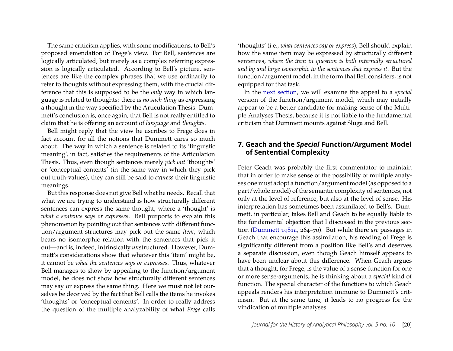The same criticism applies, with some modifications, to Bell's proposed emendation of Frege's view. For Bell, sentences are logically articulated, but merely as a complex referring expression is logically articulated. According to Bell's picture, sentences are like the complex phrases that we use ordinarily to refer to thoughts without expressing them, with the crucial difference that this is supposed to be the *only* way in which language is related to thoughts: there is *no such thing* as expressing a thought in the way specified by the Articulation Thesis. Dummett's conclusion is, once again, that Bell is not really entitled to claim that he is offering an account of *language* and *thoughts*.

Bell might reply that the view he ascribes to Frege does in fact account for all the notions that Dummett cares so much about. The way in which a sentence is related to its 'linguistic meaning', in fact, satisfies the requirements of the Articulation Thesis. Thus, even though sentences merely *pick out* 'thoughts' or 'conceptual contents' (in the same way in which they pick out truth-values), they can still be said to *express* their linguistic meanings.

But this response does not give Bell what he needs. Recall that what we are trying to understand is how structurally different sentences can express the same thought, where a 'thought' is *what a sentence says or expresses*. Bell purports to explain this phenomenon by pointing out that sentences with different function/argument structures may pick out the same *item*, which bears no isomorphic relation with the sentences that pick it out—and is, indeed, intrinsically *un*structured. However, Dummett's considerations show that whatever this 'item' might be, it cannot be *what the sentences says or expresses*. Thus, whatever Bell manages to show by appealing to the function/argument model, he does not show how structurally different sentences may say or express the same thing. Here we must not let ourselves be deceived by the fact that Bell calls the items he invokes 'thoughts' or 'conceptual contents'. In order to really address the question of the multiple analyzability of what *Frege* calls

'thoughts' (i.e., *what sentences say or express*), Bell should explain how the same item may be expressed by structurally different sentences, *where the item in question is both internally structured and by and large isomorphic to the sentences that express it*. But the function/argument model, in the form that Bell considers, is not equipped for that task.

In the [next section,](#page-0-0) we will examine the appeal to a *special* version of the function/argument model, which may initially appear to be a better candidate for making sense of the Multiple Analyses Thesis, because it is not liable to the fundamental criticism that Dummett mounts against Sluga and Bell.

### **7. Geach and the** *Special* **Function/Argument Model of Sentential Complexity**

Peter Geach was probably the first commentator to maintain that in order to make sense of the possibility of multiple analyses one must adopt a function/argument model (as opposed to a part/whole model) of the semantic complexity of sentences, not only at the level of reference, but also at the level of sense. His interpretation has sometimes been assimilated to Bell's. Dummett, in particular, takes Bell and Geach to be equally liable to the fundamental objection that I discussed in the previous section [\(Dummett](#page-32-10) [1981a,](#page-32-10) 264–70). But while there *are* passages in Geach that encourage this assimilation, his reading of Frege is significantly different from a position like Bell's and deserves a separate discussion, even though Geach himself appears to have been unclear about this difference. When Geach argues that a thought, for Frege, is the value of a sense-function for one or more sense-arguments, he is thinking about a *special* kind of function. The special character of the functions to which Geach appeals renders his interpretation immune to Dummett's criticism. But at the same time, it leads to no progress for the vindication of multiple analyses.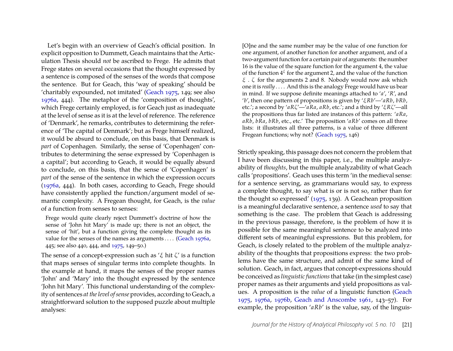Let's begin with an overview of Geach's official position. In explicit opposition to Dummett, Geach maintains that the Articulation Thesis should *not* be ascribed to Frege. He admits that Frege states on several occasions that the thought expressed by a sentence is composed of the senses of the words that compose the sentence. But for Geach, this 'way of speaking' should be 'charitably expounded, not imitated' [\(Geach](#page-33-16) [1975,](#page-33-16) 149; see also [1976a,](#page-33-17) 444). The metaphor of the 'composition of thoughts', which Frege certainly employed, is for Geach just as inadequate at the level of sense as it is at the level of reference. The reference of 'Denmark', he remarks, contributes to determining the reference of 'The capital of Denmark'; but as Frege himself realized, it would be absurd to conclude, on this basis, that Denmark is *part* of Copenhagen. Similarly, the sense of 'Copenhagen' contributes to determining the sense expressed by 'Copenhagen is a capital'; but according to Geach, it would be equally absurd to conclude, on this basis, that the sense of 'Copenhagen' is *part* of the sense of the sentence in which the expression occurs [\(1976a,](#page-33-17) 444). In both cases, according to Geach, Frege should have consistently applied the function/argument model of semantic complexity. A Fregean thought, for Geach, is the *value* of a function from senses to senses:

Frege would quite clearly reject Dummett's doctrine of how the sense of 'John hit Mary' is made up; there is not an object, the sense of 'hit', but a function giving the complete thought as its value for the senses of the names as arguments . . . . [\(Geach](#page-33-17) [1976a,](#page-33-17) 445; see also 440, 444, and [1975,](#page-33-16) 149–50.)

The sense of a concept-expression such as  $\zeta$  hit  $\zeta$  is a function that maps senses of singular terms into complete thoughts. In the example at hand, it maps the senses of the proper names 'John' and 'Mary' into the thought expressed by the sentence 'John hit Mary'. This functional understanding of the complexity of sentences *at the level of sense* provides, according to Geach, a straightforward solution to the supposed puzzle about multiple analyses:

[O]ne and the same number may be the value of one function for one argument, of another function for another argument, and of a two-argument function for a certain pair of arguments: the number 16 is the value of the square function for the argument 4, the value of the function  $4^\xi$  for the argument 2, and the value of the function  $\zeta$ . ζ for the arguments 2 and 8. Nobody would now ask which one it is *really* . . . . And this is the analogy Frege would have us bear in mind. If we suppose definite meanings attached to '*a*', '*R*', and '*b*', then one pattern of propositions is given by 'ξ*Rb*'—'*aRb*, *bRb*, etc.'; a second by '*aR*ζ'—'*aRa*, *aRb*, etc.'; and a third by 'ξ*R*ζ'—all the propositions thus far listed are instances of this pattern: '*aRa*, *aRb*, *bRa*, *bRb*, etc., etc.' The proposition '*aRb*' comes on all three lists: it illustrates all three patterns, is a value of three different Fregean functions; why not? [\(Geach](#page-33-16) [1975,](#page-33-16) 146)

Strictly speaking, this passage does not concern the problem that I have been discussing in this paper, i.e., the multiple analyzability of *thoughts*, but the multiple analyzability of what Geach calls 'propositions'. Geach uses this term 'in the medieval sense: for a sentence serving, as grammarians would say, to express a complete thought, to say what is or is not so, rather than for the thought so expressed' [\(1975,](#page-33-16) 139). A Geachean proposition is a meaningful declarative sentence, a sentence *used* to say that something is the case. The problem that Geach is addressing in the previous passage, therefore, is the problem of how it is possible for the same meaningful sentence to be analyzed into different sets of meaningful expressions. But this problem, for Geach, is closely related to the problem of the multiple analyzability of the thoughts that propositions express: the two problems have the same structure, and admit of the same kind of solution. Geach, in fact, argues that concept-expressions should be conceived as *linguistic functions*that take (in the simplest case) proper names as their arguments and yield propositions as values. A proposition is the *value* of a linguistic function [\(Geach](#page-33-16) [1975,](#page-33-16) [1976a,](#page-33-17) [1976b,](#page-33-18) [Geach and Anscombe](#page-34-17) [1961,](#page-34-17) 143–57). For example, the proposition '*aRb*' is the value, say, of the linguis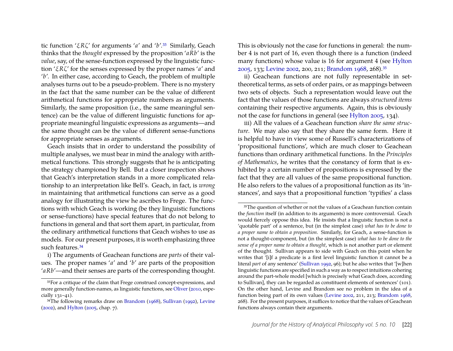tic function 'ξ*R*ζ' for arguments '*a*' and '*b*'[.33](#page-22-0) Similarly, Geach thinks that the *thought* expressed by the proposition '*aRb*' is the *value*, say, of the sense-function expressed by the linguistic function 'ξ*R*ζ' for the senses expressed by the proper names '*a*' and '*b*'. In either case, according to Geach, the problem of multiple analyses turns out to be a pseudo-problem. There is no mystery in the fact that the same number can be the value of different arithmetical functions for appropriate numbers as arguments. Similarly, the same proposition (i.e., the same meaningful sentence) can be the value of different linguistic functions for appropriate meaningful linguistic expressions as arguments—and the same thought can be the value of different sense-functions for appropriate senses as arguments.

Geach insists that in order to understand the possibility of multiple analyses, we must bear in mind the analogy with arithmetical functions. This strongly suggests that he is anticipating the strategy championed by Bell. But a closer inspection shows that Geach's interpretation stands in a more complicated relationship to an interpretation like Bell's. Geach, in fact, is *wrong* in maintaining that arithmetical functions can serve as a good analogy for illustrating the view he ascribes to Frege. The functions with which Geach is working (be they linguistic functions or sense-functions) have special features that do not belong to functions in general and that sort them apart, in particular, from the ordinary arithmetical functions that Geach wishes to use as models. For our present purposes, it is worth emphasizing three such features.<sup>34</sup>

i) The arguments of Geachean functions are *parts* of their values. The proper names '*a*' and '*b*' are parts of the proposition '*aRb*'—and their senses are parts of the corresponding thought.

This is obviously not the case for functions in general: the number 4 is not part of 16, even though there is a function (indeed many functions) whose value is 16 for argument 4 (see [Hylton](#page-34-16) [2005,](#page-34-16) 133; [Levine](#page-34-1) [2002,](#page-34-1) 200, 211; [Brandom](#page-32-19) [1968,](#page-32-19) 268)[.35](#page-22-2)

ii) Geachean functions are not fully representable in settheoretical terms, as sets of order pairs, or as mappings between two sets of objects. Such a representation would leave out the fact that the values of those functions are always *structured items* containing their respective arguments. Again, this is obviously not the case for functions in general (see [Hylton](#page-34-16) [2005,](#page-34-16) 134).

iii) All the values of a Geachean function *share the same structure*. We may also say that they share the same form. Here it is helpful to have in view some of Russell's characterizations of 'propositional functions', which are much closer to Geachean functions than ordinary arithmetical functions. In the *Principles of Mathematics*, he writes that the constancy of form that is exhibited by a certain number of propositions is expressed by the fact that they are all values of the same propositional function. He also refers to the values of a propositional function as its 'instances', and says that a propositional function 'typifies' a class

<span id="page-22-0"></span><sup>33</sup>For a critique of the claim that Frege construed concept-expressions, and more generally function-names, as linguistic functions, see [Oliver](#page-34-18) [\(2010,](#page-34-18) especially 131–41).

<span id="page-22-1"></span><sup>&</sup>lt;sup>34</sup>The following remarks draw on [Brandom](#page-32-19) [\(1968\)](#page-32-19), [Sullivan](#page-34-19) [\(1992\)](#page-34-19), [Levine](#page-34-1) [\(2002\)](#page-34-1), and [Hylton](#page-34-16) [\(2005,](#page-34-16) chap. 7).

<span id="page-22-2"></span><sup>&</sup>lt;sup>35</sup>The question of whether or not the values of a Geachean function contain the *function* itself (in addition to its arguments) is more controversial. Geach would fiercely oppose this idea. He insists that a linguistic function is not a 'quotable part' of a sentence, but (in the simplest case) *what has to be done to a proper name to obtain a proposition*. Similarly, for Geach, a sense-function is not a thought-component, but (in the simplest case) *what has to be done to the sense of a proper name to obtain a thought*, which is not another part or element of the thought. Sullivan appears to side with Geach on this point when he writes that '[i]f a predicate is a first level linguistic function it cannot be a literal *part* of any sentence' [\(Sullivan](#page-34-19) [1992,](#page-34-19) 96); but he also writes that '[w]hen linguistic functions are specified in such a way as to respect intuitions cohering around the part-whole model [which is precisely what Geach does, according to Sullivan], they can be regarded as constituent elements of sentences' (101). On the other hand, Levine and Brandom see no problem in the idea of a function being part of its own values [\(Levine](#page-34-1) [2002,](#page-34-1) 211, 213; [Brandom](#page-32-19) [1968,](#page-32-19) 268). For the present purposes, it suffices to notice that the values of Geachean functions always contain their arguments.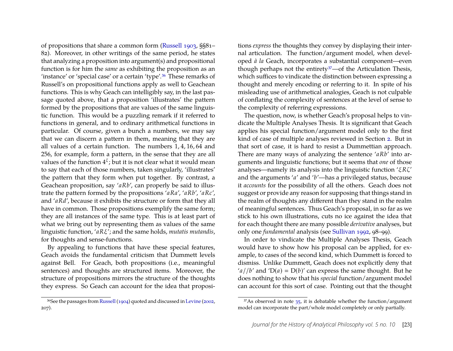of propositions that share a common form [\(Russell](#page-34-20) [1903,](#page-34-20) §§81– 82). Moreover, in other writings of the same period, he states that analyzing a proposition into argument(s) and propositional function is for him the *same* as exhibiting the proposition as an 'instance' or 'special case' or a certain 'type'[.36](#page-23-0) These remarks of Russell's on propositional functions apply as well to Geachean functions. This is why Geach can intelligibly say, in the last passage quoted above, that a proposition 'illustrates' the pattern formed by the propositions that are values of the same linguistic function. This would be a puzzling remark if it referred to functions in general, and to ordinary arithmetical functions in particular. Of course, given a bunch a numbers, we may say that we can discern a pattern in them, meaning that they are all values of a certain function. The numbers 1, 4, 16, 64 and 256, for example, form a pattern, in the sense that they are all values of the function  $4^\xi$ ; but it is not clear what it would mean to say that each of those numbers, taken singularly, 'illustrates' the pattern that they form when put together. By contrast, a Geachean proposition, say '*aRb*', can properly be said to illustrate the pattern formed by the propositions '*aRa*', '*aRb*', '*aRc*', and '*aRd*', because it exhibits the structure or form that they all have in common. Those propositions exemplify the same form; they are all instances of the same type. This is at least part of what we bring out by representing them as values of the same linguistic function, '*aR*ξ'; and the same holds, *mutatis mutandis*, for thoughts and sense-functions.

By appealing to functions that have these special features, Geach avoids the fundamental criticism that Dummett levels against Bell. For Geach, both propositions (i.e., meaningful sentences) and thoughts are structured items. Moreover, the structure of propositions mirrors the structure of the thoughts they express. So Geach can account for the idea that propositions *express* the thoughts they convey by displaying their internal articulation. The function/argument model, when developed *à la* Geach, incorporates a substantial component—even though perhaps not the entirety<sup>37</sup>—of the Articulation Thesis, which suffices to vindicate the distinction between expressing a thought and merely encoding or referring to it. In spite of his misleading use of arithmetical analogies, Geach is not culpable of conflating the complexity of sentences at the level of sense to the complexity of referring expressions.

The question, now, is whether Geach's proposal helps to vindicate the Multiple Analyses Thesis. It is significant that Geach applies his special function/argument model only to the first kind of case of multiple analyses reviewed in Section [2.](#page-3-2) But in that sort of case, it is hard to resist a Dummettian approach. There are many ways of analyzing the sentence '*aRb*' into arguments and linguistic functions; but it seems that *one* of those analyses—namely its analysis into the linguistic function 'ξ*R*ζ' and the arguments '*a*' and '*b*'—has a privileged status, because it *accounts* for the possibility of all the others. Geach does not suggest or provide any reason for supposing that things stand in the realm of thoughts any different than they stand in the realm of meaningful sentences. Thus Geach's proposal, in so far as we stick to his own illustrations, cuts no ice against the idea that for each thought there are many possible *derivative* analyses, but only one *fundamental* analysis (see [Sullivan](#page-34-19) [1992,](#page-34-19) 98–99).

In order to vindicate the Multiple Analyses Thesis, Geach would have to show how his proposal can be applied, for example, to cases of the second kind, which Dummett is forced to dismiss. Unlike Dummett, Geach does not explicitly deny that ' $a$ //*b*' and 'D( $a$ ) = D( $b$ )' can express the same thought. But he does nothing to show that his *special* function/argument model can account for this sort of case. Pointing out that the thought

<span id="page-23-0"></span><sup>36</sup>See the passages from [Russell\(1904\)](#page-34-21) quoted and discussed in [Levine](#page-34-1) [\(2002,](#page-34-1) 207).

<span id="page-23-1"></span> $37$ As observed in note  $35$ , it is debatable whether the function/argument model can incorporate the part/whole model completely or only partially.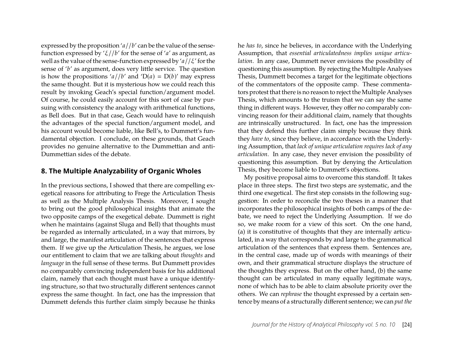expressed by the proposition '*a*//*b*' can be the value of the sensefunction expressed by 'ξ//*b*' for the sense of '*a*' as argument, as well as the value of the sense-function expressed by '*a*//ξ' for the sense of '*b*' as argument, does very little service. The question is how the propositions '*a*//*b*' and ' $D(a) = D(b)$ ' may express the same thought. But it is mysterious how we could reach this result by invoking Geach's special function/argument model. Of course, he could easily account for this sort of case by pursuing with consistency the analogy with arithmetical functions, as Bell does. But in that case, Geach would have to relinquish the advantages of the special function/argument model, and his account would become liable, like Bell's, to Dummett's fundamental objection. I conclude, on these grounds, that Geach provides no genuine alternative to the Dummettian and anti-Dummettian sides of the debate.

#### <span id="page-24-0"></span>**8. The Multiple Analyzability of Organic Wholes**

In the previous sections, I showed that there are compelling exegetical reasons for attributing to Frege the Articulation Thesis as well as the Multiple Analysis Thesis. Moreover, I sought to bring out the good philosophical insights that animate the two opposite camps of the exegetical debate. Dummett is right when he maintains (against Sluga and Bell) that thoughts must be regarded as internally articulated, in a way that mirrors, by and large, the manifest articulation of the sentences that express them. If we give up the Articulation Thesis, he argues, we lose our entitlement to claim that we are talking about *thoughts* and *language* in the full sense of these terms. But Dummett provides no comparably convincing independent basis for his additional claim, namely that each thought must have a unique identifying structure, so that two structurally different sentences cannot express the same thought. In fact, one has the impression that Dummett defends this further claim simply because he thinks he *has to*, since he believes, in accordance with the Underlying Assumption, that *essential articulatedness implies unique articulation*. In any case, Dummett never envisions the possibility of questioning this assumption. By rejecting the Multiple Analyses Thesis, Dummett becomes a target for the legitimate objections of the commentators of the opposite camp. These commentators protest that there is no reason to reject the Multiple Analyses Thesis, which amounts to the truism that we can say the same thing in different ways. However, they offer no comparably convincing reason for their additional claim, namely that thoughts are intrinsically unstructured. In fact, one has the impression that they defend this further claim simply because they think they *have to*, since they believe, in accordance with the Underlying Assumption, that *lack of unique articulation requires lack of any articulation*. In any case, they never envision the possibility of questioning this assumption. But by denying the Articulation Thesis, they become liable to Dummett's objections.

My positive proposal aims to overcome this standoff. It takes place in three steps. The first two steps are systematic, and the third one exegetical. The first step consists in the following suggestion: In order to reconcile the two theses in a manner that incorporates the philosophical insights of both camps of the debate, we need to reject the Underlying Assumption. If we do so, we make room for a view of this sort. On the one hand, (a) it is constitutive of thoughts that they are internally articulated, in a way that corresponds by and large to the grammatical articulation of the sentences that express them. Sentences are, in the central case, made up of words with meanings of their own, and their grammatical structure displays the structure of the thoughts they express. But on the other hand, (b) the same thought can be articulated in many equally legitimate ways, none of which has to be able to claim absolute priority over the others. We can *rephrase* the thought expressed by a certain sentence by means of a structurally different sentence; we can *put the*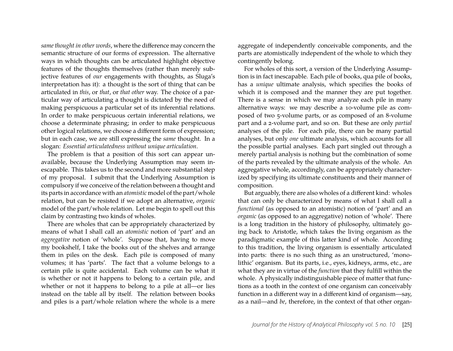*same thought in other words*, where the difference may concern the semantic structure of our forms of expression. The alternative ways in which thoughts can be articulated highlight objective features of the thoughts themselves (rather than merely subjective features of *our* engagements with thoughts, as Sluga's interpretation has it): a thought is the sort of thing that can be articulated in *this*, or *that*, or *that other* way. The choice of a particular way of articulating a thought is dictated by the need of making perspicuous a particular set of its inferential relations. In order to make perspicuous certain inferential relations, we choose a determinate phrasing; in order to make perspicuous other logical relations, we choose a different form of expression; but in each case, we are still expressing the *same* thought. In a slogan: *Essential articulatedness without unique articulation*.

The problem is that a position of this sort can appear unavailable, because the Underlying Assumption may seem inescapable. This takes us to the second and more substantial step of my proposal. I submit that the Underlying Assumption is compulsory if we conceive of the relation between a thought and its parts in accordance with an *atomistic* model of the part/whole relation, but can be resisted if we adopt an alternative, *organic* model of the part/whole relation. Let me begin to spell out this claim by contrasting two kinds of wholes.

There are wholes that can be appropriately characterized by means of what I shall call an *atomistic* notion of 'part' and an *aggregative* notion of 'whole'. Suppose that, having to move my bookshelf, I take the books out of the shelves and arrange them in piles on the desk. Each pile is composed of many volumes; it has 'parts'. The fact that a volume belongs to a certain pile is quite accidental. Each volume can be what it is whether or not it happens to belong to a certain pile, and whether or not it happens to belong to a pile at all—or lies instead on the table all by itself. The relation between books and piles is a part/whole relation where the whole is a mere aggregate of independently conceivable components, and the parts are atomistically independent of the whole to which they contingently belong.

For wholes of this sort, a version of the Underlying Assumption is in fact inescapable. Each pile of books, qua pile of books, has a *unique* ultimate analysis, which specifies the books of which it is composed and the manner they are put together. There is a sense in which we may analyze each pile in many alternative ways: we may describe a 10-volume pile as composed of two 5-volume parts, or as composed of an 8-volume part and a 2-volume part, and so on. But these are only *partial* analyses of the pile. For each pile, there can be many partial analyses, but only *one* ultimate analysis, which accounts for all the possible partial analyses. Each part singled out through a merely partial analysis is nothing but the combination of some of the parts revealed by the ultimate analysis of the whole. An aggregative whole, accordingly, can be appropriately characterized by specifying its ultimate constituents and their manner of composition.

But arguably, there are also wholes of a different kind: wholes that can only be characterized by means of what I shall call a *functional* (as opposed to an atomistic) notion of 'part' and an *organic* (as opposed to an aggregative) notion of 'whole'. There is a long tradition in the history of philosophy, ultimately going back to Aristotle, which takes the living organism as the paradigmatic example of this latter kind of whole. According to this tradition, the living organism is essentially articulated into parts: there is no such thing as an unstructured, 'monolithic' organism. But its parts, i.e., eyes, kidneys, arms, etc., are what they are in virtue of the *function* that they fulfill within the whole. A physically indistinguishable piece of matter that functions as a tooth in the context of one organism can conceivably function in a different way in a different kind of organism—say, as a nail—and *be*, therefore, in the context of that other organ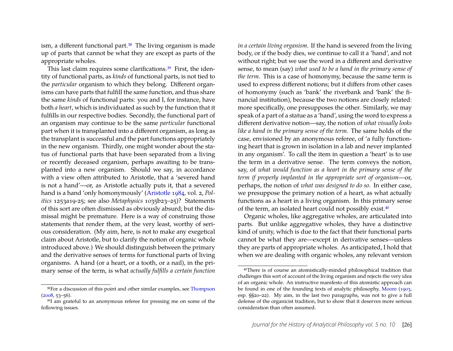ism, a different functional part.<sup>38</sup> The living organism is made up of parts that cannot be what they are except as parts of the appropriate wholes.

This last claim requires some clarifications.<sup>39</sup> First, the identity of functional parts, as *kinds* of functional parts, is not tied to the *particular* organism to which they belong. Different organisms can have parts that fulfill the same function, and thus share the same *kinds* of functional parts: you and I, for instance, have both *a heart*, which is individuated as such by the function that it fulfills in our respective bodies. Secondly, the functional part of an organism may continue to be the same *particular* functional part when it is transplanted into a different organism, as long as the transplant is successful and the part functions appropriately in the new organism. Thirdly, one might wonder about the status of functional parts that have been separated from a living or recently deceased organism, perhaps awaiting to be transplanted into a new organism. Should we say, in accordance with a view often attributed to Aristotle, that a 'severed hand is not a hand'—or, as Aristotle actually puts it, that a severed hand is a hand 'only homonymously' [\(Aristotle](#page-32-20) [1984,](#page-32-20) vol. 2, *Politics* 1253a19-25; see also *Metaphysics* 1035b23–25)? Statements of this sort are often dismissed as obviously absurd; but the dismissal might be premature. Here is a way of construing those statements that render them, at the very least, worthy of serious consideration. (My aim, here, is not to make any exegetical claim about Aristotle, but to clarify the notion of organic whole introduced above.) We should distinguish between the primary and the derivative senses of terms for functional parts of living organisms. A hand (or a heart, or a tooth, or a nail), in the primary sense of the term, is what *actually fulfills a certain function*

*in a certain living organism*. If the hand is severed from the living body, or if the body dies, we continue to call it a 'hand', and not without right; but we use the word in a different and derivative sense, to mean (say) *what used to be a hand in the primary sense of the term*. This is a case of homonymy, because the same term is used to express different notions; but it differs from other cases of homonymy (such as 'bank' the riverbank and 'bank' the financial institution), because the two notions are closely related: more specifically, one presupposes the other. Similarly, we may speak of a part of a statue as a 'hand', using the word to express a different derivative notion—say, the notion of *what visually looks like a hand in the primary sense of the term*. The same holds of the case, envisioned by an anonymous referee, of 'a fully functioning heart that is grown in isolation in a lab and never implanted in any organism'. To call the item in question a 'heart' is to use the term in a derivative sense. The term conveys the notion, say, of *what would function as a heart in the primary sense of the term if properly implanted in the appropriate sort of organism*—or, perhaps, the notion of *what was designed to do so*. In either case, we presuppose the primary notion of a heart, as what actually functions as a heart in a living organism. In this primary sense of the term, an isolated heart could not possibly exist[.40](#page-26-2)

Organic wholes, like aggregative wholes, are articulated into parts. But unlike aggregative wholes, they have a distinctive kind of unity, which is due to the fact that their functional parts cannot be what they are—except in derivative senses—unless they are parts of appropriate wholes. As anticipated, I hold that when we are dealing with organic wholes, any relevant version

<span id="page-26-0"></span><sup>38</sup>For a discussion of this point and other similar examples, see [Thompson](#page-34-22)  $(2008, 53 - 56)$  $(2008, 53 - 56)$ .

<span id="page-26-1"></span><sup>39</sup>I am grateful to an anonymous referee for pressing me on some of the following issues.

<span id="page-26-2"></span><sup>40</sup>There is of course an atomistically-minded philosophical tradition that challenges this sort of account of the living organism and rejects the very idea of an organic whole. An instructive manifesto of this atomistic approach can be found in one of the founding texts of analytic philosophy, [Moore](#page-34-23) [\(1903,](#page-34-23) esp. §§20–22). My aim, in the last two paragraphs, was not to give a full defense of the organicist tradition, but to show that it deserves more serious consideration than often assumed.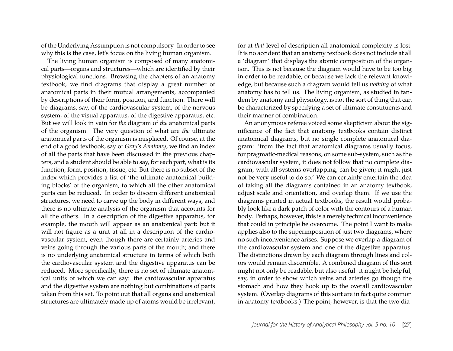of the Underlying Assumption is not compulsory. In order to see why this is the case, let's focus on the living human organism.

The living human organism is composed of many anatomical parts—organs and structures—which are identified by their physiological functions. Browsing the chapters of an anatomy textbook, we find diagrams that display a great number of anatomical parts in their mutual arrangements, accompanied by descriptions of their form, position, and function. There will be diagrams, say, of the cardiovascular system, of the nervous system, of the visual apparatus, of the digestive apparatus, etc. But we will look in vain for *the* diagram of *the* anatomical parts of the organism. The very question of what are *the* ultimate anatomical parts of the organism is misplaced. Of course, at the end of a good textbook, say of *Gray's Anatomy*, we find an index of all the parts that have been discussed in the previous chapters, and a student should be able to say, for each part, what is its function, form, position, tissue, etc. But there is no subset of the index which provides a list of 'the ultimate anatomical building blocks' of the organism, to which all the other anatomical parts can be reduced. In order to discern different anatomical structures, we need to carve up the body in different ways, and there is no ultimate analysis of the organism that accounts for all the others. In a description of the digestive apparatus, for example, the mouth will appear as an anatomical part; but it will not figure as a unit at all in a description of the cardiovascular system, even though there are certainly arteries and veins going through the various parts of the mouth; and there is no underlying anatomical structure in terms of which both the cardiovascular system and the digestive apparatus can be reduced. More specifically, there is no set of ultimate anatomical units of which we can say: the cardiovascular apparatus and the digestive system are nothing but combinations of parts taken from this set. To point out that all organs and anatomical structures are ultimately made up of atoms would be irrelevant, for at *that* level of description all anatomical complexity is lost. It is no accident that an anatomy textbook does not include at all a 'diagram' that displays the atomic composition of the organism. This is not because the diagram would have to be too big in order to be readable, or because we lack the relevant knowledge, but because such a diagram would tell us *nothing* of what anatomy has to tell us. The living organism, as studied in tandem by anatomy and physiology, is not the sort of thing that can be characterized by specifying a set of ultimate constituents and their manner of combination.

An anonymous referee voiced some skepticism about the significance of the fact that anatomy textbooks contain distinct anatomical diagrams, but no single complete anatomical diagram: 'from the fact that anatomical diagrams usually focus, for pragmatic-medical reasons, on some sub-system, such as the cardiovascular system, it does not follow that no complete diagram, with all systems overlapping, can be given; it might just not be very useful to do so.' We can certainly entertain the idea of taking all the diagrams contained in an anatomy textbook, adjust scale and orientation, and overlap them. If we use the diagrams printed in actual textbooks, the result would probably look like a dark patch of color with the contours of a human body. Perhaps, however, this is a merely technical inconvenience that could in principle be overcome. The point I want to make applies also to the superimposition of just two diagrams, where no such inconvenience arises. Suppose we overlap a diagram of the cardiovascular system and one of the digestive apparatus. The distinctions drawn by each diagram through lines and colors would remain discernible. A combined diagram of this sort might not only be readable, but also useful: it might be helpful, say, in order to show which veins and arteries go though the stomach and how they hook up to the overall cardiovascular system. (Overlap diagrams of this sort are in fact quite common in anatomy textbooks.) The point, however, is that the two dia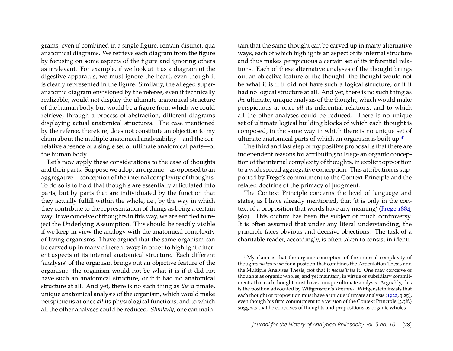grams, even if combined in a single figure, remain distinct, qua anatomical diagrams. We retrieve each diagram from the figure by focusing on some aspects of the figure and ignoring others as irrelevant. For example, if we look at it as a diagram of the digestive apparatus, we must ignore the heart, even though it is clearly represented in the figure. Similarly, the alleged superanatomic diagram envisioned by the referee, even if technically realizable, would not display the ultimate anatomical structure of the human body, but would be a figure from which we could retrieve, through a process of abstraction, different diagrams displaying actual anatomical structures. The case mentioned by the referee, therefore, does not constitute an objection to my claim about the multiple anatomical analyzability—and the correlative absence of a single set of ultimate anatomical parts—of the human body.

Let's now apply these considerations to the case of thoughts and their parts. Suppose we adopt an organic—as opposed to an aggregative—conception of the internal complexity of thoughts. To do so is to hold that thoughts are essentially articulated into parts, but by parts that are individuated by the function that they actually fulfill within the whole, i.e., by the way in which they contribute to the representation of things as being a certain way. If we conceive of thoughts in this way, we are entitled to reject the Underlying Assumption. This should be readily visible if we keep in view the analogy with the anatomical complexity of living organisms. I have argued that the same organism can be carved up in many different ways in order to highlight different aspects of its internal anatomical structure. Each different 'analysis' of the organism brings out an objective feature of the organism: the organism would not be what it is if it did not have such an anatomical structure, or if it had no anatomical structure at all. And yet, there is no such thing as *the* ultimate, unique anatomical analysis of the organism, which would make perspicuous at once *all* its physiological functions, and to which all the other analyses could be reduced. *Similarly*, one can main-

tain that the same thought can be carved up in many alternative ways, each of which highlights an aspect of its internal structure and thus makes perspicuous a certain set of its inferential relations. Each of these alternative analyses of the thought brings out an objective feature of the thought: the thought would not be what it is if it did not have such a logical structure, or if it had no logical structure at all. And yet, there is no such thing as *the* ultimate, unique analysis of the thought, which would make perspicuous at once *all* its inferential relations, and to which all the other analyses could be reduced. There is no unique set of ultimate logical building blocks of which each thought is composed, in the same way in which there is no unique set of ultimate anatomical parts of which an organism is built up[.41](#page-28-0)

The third and last step of my positive proposal is that there are independent reasons for attributing to Frege an organic conception of the internal complexity of thoughts, in explicit opposition to a widespread aggregative conception. This attribution is supported by Frege's commitment to the Context Principle and the related doctrine of the primacy of judgment.

The Context Principle concerns the level of language and states, as I have already mentioned, that 'it is only in the context of a proposition that words have any meaning' [\(Frege](#page-32-4) [1884,](#page-32-4) §62). This dictum has been the subject of much controversy. It is often assumed that under any literal understanding, the principle faces obvious and decisive objections. The task of a charitable reader, accordingly, is often taken to consist in identi-

<span id="page-28-0"></span><sup>41</sup>My claim is that the organic conception of the internal complexity of thoughts *makes room* for a position that combines the Articulation Thesis and the Multiple Analyses Thesis, not that it *necessitates* it. One may conceive of thoughts as organic wholes, and yet maintain, in virtue of subsidiary commitments, that each thought must have a unique ultimate analysis. Arguably, this is the position advocated by Wittgenstein's *Tractatus*. Wittgenstein insists that each thought or proposition must have a unique ultimate analysis [\(1922,](#page-34-24) 3.25), even though his firm commitment to a version of the Context Principle (3.3ff.) suggests that he conceives of thoughts and propositions as organic wholes.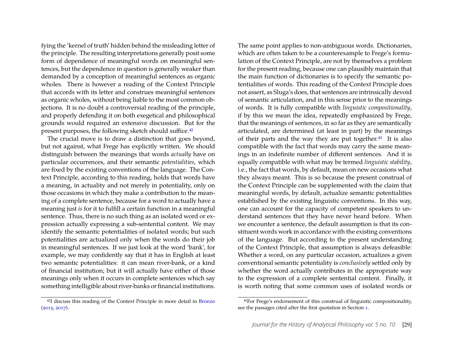fying the 'kernel of truth' hidden behind the misleading letter of the principle. The resulting interpretations generally posit some form of dependence of meaningful words on meaningful sentences, but the dependence in question is generally weaker than demanded by a conception of meaningful sentences as organic wholes. There is however a reading of the Context Principle that accords with its letter and construes meaningful sentences as organic wholes, without being liable to the most common objections. It is no doubt a controversial reading of the principle, and properly defending it on both exegetical and philosophical grounds would required an extensive discussion. But for the present purposes, the following sketch should suffice[.42](#page-29-0)

The crucial move is to draw a distinction that goes beyond, but not against, what Frege has explicitly written. We should distinguish between the meanings that words *actually* have on particular occurrences, and their semantic *potentialities*, which are fixed by the existing conventions of the language. The Context Principle, according to this reading, holds that words have a meaning, in actuality and not merely in potentiality, only on those occasions in which they make a contribution to the meaning of a complete sentence, because for a word to actually have a meaning just *is* for it to fulfill a certain function in a meaningful sentence. Thus, there is no such thing as an isolated word or expression actually expressing a sub-sentential content. We may identify the semantic potentialities of isolated words; but such potentialities are actualized only when the words do their job in meaningful sentences. If we just look at the word 'bank', for example, we may confidently say that it has in English at least two semantic potentialities: it can mean river-bank, or a kind of financial institution; but it will actually have either of those meanings only when it occurs in complete sentences which say something intelligible about river-banks or financial institutions.

<span id="page-29-0"></span>42I discuss this reading of the Context Principle in more detail in [Bronzo](#page-32-21) [\(2015,](#page-32-21) [2017\)](#page-32-22).

The same point applies to non-ambiguous words. Dictionaries, which are often taken to be a counterexample to Frege's formulation of the Context Principle, are not by themselves a problem for the present reading, because one can plausibly maintain that the main function of dictionaries is to specify the semantic potentialities of words. This reading of the Context Principle does not assert, as Sluga's does, that sentences are intrinsically devoid of semantic articulation, and in this sense prior to the meanings of words. It is fully compatible with *linguistic compositionality*, if by this we mean the idea, repeatedly emphasized by Frege, that the meanings of sentences, in so far as they are semantically articulated, are determined (at least in part) by the meanings of their parts and the way they are put together[.43](#page-29-1) It is also compatible with the fact that words may carry the same meanings in an indefinite number of different sentences. And it is equally compatible with what may be termed *linguistic stability*, i.e., the fact that words, by default, mean on new occasions what they always meant. This is so because the present construal of the Context Principle can be supplemented with the claim that meaningful words, by default, actualize semantic potentialities established by the existing linguistic conventions. In this way, one can account for the capacity of competent speakers to understand sentences that they have never heard before. When we encounter a sentence, the default assumption is that its constituent words work in accordance with the existing conventions of the language. But according to the present understanding of the Context Principle, that assumption is always defeasible: Whether a word, on any particular occasion, actualizes a given conventional semantic potentiality is *conclusively* settled only by whether the word actually contributes in the appropriate way to the expression of a complete sentential content. Finally, it is worth noting that some common uses of isolated words or

<span id="page-29-1"></span><sup>43</sup>For Frege's endorsement of this construal of linguistic compositionality, see the passages cited after the first quotation in Section [1.](#page-1-1)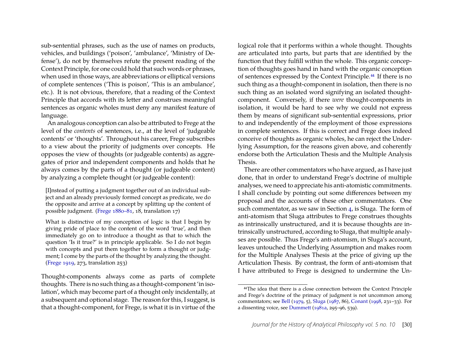sub-sentential phrases, such as the use of names on products, vehicles, and buildings ('poison', 'ambulance', 'Ministry of Defense'), do not by themselves refute the present reading of the Context Principle, for one could hold that such words or phrases, when used in those ways, are abbreviations or elliptical versions of complete sentences ('This is poison', 'This is an ambulance', etc.). It is not obvious, therefore, that a reading of the Context Principle that accords with its letter and construes meaningful sentences as organic wholes must deny any manifest feature of language.

An analogous conception can also be attributed to Frege at the level of the *contents* of sentences, i.e., at the level of 'judgeable contents' or 'thoughts'. Throughout his career, Frege subscribes to a view about the priority of judgments over concepts. He opposes the view of thoughts (or judgeable contents) as aggregates of prior and independent components and holds that he always comes by the parts of a thought (or judgeable content) by analyzing a complete thought (or judgeable content):

[I]nstead of putting a judgment together out of an individual subject and an already previously formed concept as predicate, we do the opposite and arrive at a concept by splitting up the content of possible judgment. [\(Frege](#page-32-3) [1880–81,](#page-32-3) 18, translation 17)

What is distinctive of my conception of logic is that I begin by giving pride of place to the content of the word 'true', and then immediately go on to introduce a thought as that to which the question 'Is it true?' is in principle applicable. So I do not begin with concepts and put them together to form a thought or judgment; I come by the parts of the thought by analyzing the thought. [\(Frege](#page-33-0) [1919,](#page-33-0) 273, translation 253)

Thought-components always come as parts of complete thoughts. There is no such thing as a thought-component 'in isolation', which may become part of a thought only incidentally, at a subsequent and optional stage. The reason for this, I suggest, is that a thought-component, for Frege, is what it is in virtue of the logical role that it performs within a whole thought. Thoughts are articulated into parts, but parts that are identified by the function that they fulfill within the whole. This organic conception of thoughts goes hand in hand with the organic conception of sentences expressed by the Context Principle[.44](#page-30-0) If there is no such thing as a thought-component in isolation, then there is no such thing as an isolated word signifying an isolated thoughtcomponent. Conversely, if there *were* thought-components in isolation, it would be hard to see why we could not express them by means of significant sub-sentential expressions, prior to and independently of the employment of those expressions in complete sentences. If this is correct and Frege does indeed conceive of thoughts as organic wholes, he can reject the Underlying Assumption, for the reasons given above, and coherently endorse both the Articulation Thesis and the Multiple Analysis Thesis.

There are other commentators who have argued, as I have just done, that in order to understand Frege's doctrine of multiple analyses, we need to appreciate his anti-atomistic commitments. I shall conclude by pointing out some differences between my proposal and the accounts of these other commentators. One such commentator, as we saw in Section [4,](#page-14-2) is Sluga. The form of anti-atomism that Sluga attributes to Frege construes thoughts as intrinsically unstructured, and it is because thoughts are intrinsically unstructured, according to Sluga, that multiple analyses are possible. Thus Frege's anti-atomism, in Sluga's account, leaves untouched the Underlying Assumption and makes room for the Multiple Analyses Thesis at the price of giving up the Articulation Thesis. By contrast, the form of anti-atomism that I have attributed to Frege is designed to undermine the Un-

<span id="page-30-0"></span><sup>44</sup>The idea that there is a close connection between the Context Principle and Frege's doctrine of the primacy of judgment is not uncommon among commentators; see [Bell](#page-32-23) [\(1979,](#page-32-23) 5), [Sluga](#page-34-14) [\(1987,](#page-34-14) 86), [Conant](#page-32-24) [\(1998,](#page-32-24) 231–33). For a dissenting voice, see [Dummett](#page-32-10) [\(1981a,](#page-32-10) 295–96, 539).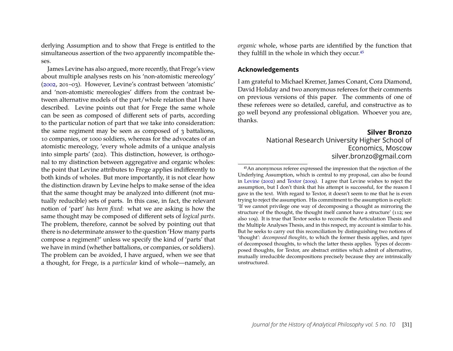derlying Assumption and to show that Frege is entitled to the simultaneous assertion of the two apparently incompatible theses.

James Levine has also argued, more recently, that Frege's view about multiple analyses rests on his 'non-atomistic mereology' [\(2002,](#page-34-1) 201–03). However, Levine's contrast between 'atomistic' and 'non-atomistic mereologies' differs from the contrast between alternative models of the part/whole relation that I have described. Levine points out that for Frege the same whole can be seen as composed of different sets of parts, according to the particular notion of part that we take into consideration: the same regiment may be seen as composed of 3 battalions, 10 companies, or 1000 soldiers, whereas for the advocates of an atomistic mereology, 'every whole admits of a unique analysis into simple parts' (202). This distinction, however, is orthogonal to my distinction between aggregative and organic wholes: the point that Levine attributes to Frege applies indifferently to both kinds of wholes. But more importantly, it is not clear how the distinction drawn by Levine helps to make sense of the idea that the same thought may be analyzed into different (not mutually reducible) sets of parts. In this case, in fact, the relevant notion of 'part' *has been fixed*: what we are asking is how the same thought may be composed of different sets of *logical parts*. The problem, therefore, cannot be solved by pointing out that there is no determinate answer to the question 'How many parts compose a regiment?' unless we specify the kind of 'parts' that we have in mind (whether battalions, or companies, or soldiers). The problem can be avoided, I have argued, when we see that a thought, for Frege, is a *particular* kind of whole—namely, an

*organic* whole, whose parts are identified by the function that they fulfill in the whole in which they occur.<sup>45</sup>

#### **Acknowledgements**

I am grateful to Michael Kremer, James Conant, Cora Diamond, David Holiday and two anonymous referees for their comments on previous versions of this paper. The comments of one of these referees were so detailed, careful, and constructive as to go well beyond any professional obligation. Whoever you are, thanks.

#### **Silver Bronzo**

National Research University Higher School of Economics, Moscow silver.bronzo@gmail.com

<span id="page-31-0"></span><sup>45</sup>An anonymous referee expressed the impression that the rejection of the Underlying Assumption, which is central to my proposal, can also be found in [Levine](#page-34-1) [\(2002\)](#page-34-1) and [Textor](#page-34-3) [\(2009\)](#page-34-3). I agree that Levine wishes to reject the assumption, but I don't think that his attempt is successful, for the reason I gave in the text. With regard to Textor, it doesn't seem to me that he is even trying to reject the assumption. His commitment to the assumption is explicit: 'If we cannot privilege one way of decomposing a thought as mirroring the structure of the thought, the thought itself cannot have a structure' (112; see also 109). It is true that Textor seeks to reconcile the Articulation Thesis and the Multiple Analyses Thesis, and in this respect, my account is similar to his. But he seeks to carry out this reconciliation by distinguishing two notions of 'thought': *decomposed thoughts*, to which the former thesis applies, and *types* of decomposed thoughts, to which the latter thesis applies. Types of decomposed thoughts, for Textor, are abstract entities which admit of alternative, mutually irreducible decompositions precisely because they are intrinsically unstructured.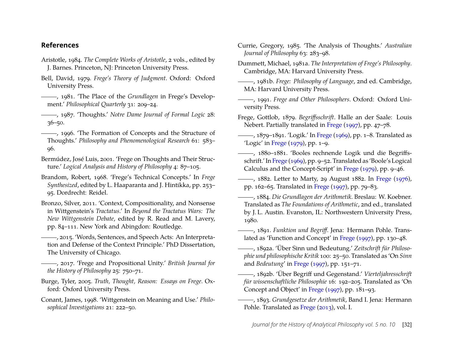### **References**

- <span id="page-32-20"></span>Aristotle, 1984. *The Complete Works of Aristotle*, 2 vols., edited by J. Barnes. Princeton, NJ: Princeton University Press.
- <span id="page-32-23"></span>Bell, David, 1979. *Frege's Theory of Judgment*. Oxford: Oxford University Press.
- <span id="page-32-14"></span>, 1981. 'The Place of the *Grundlagen* in Frege's Development.' *Philosophical Quarterly* 31: 209–24.
- <span id="page-32-15"></span>, 1987. 'Thoughts.' *Notre Dame Journal of Formal Logic* 28: 36–50.
- <span id="page-32-16"></span>-, 1996. 'The Formation of Concepts and the Structure of Thoughts.' *Philosophy and Phenomenological Research* 61: 583– 96.
- <span id="page-32-7"></span>Bermúdez, José Luis, 2001. 'Frege on Thoughts and Their Structure.' *Logical Analysis and History of Philosophy* 4: 87–105.
- <span id="page-32-19"></span>Brandom, Robert, 1968. 'Frege's Technical Concepts.' In *Frege Synthesized*, edited by L. Haaparanta and J. Hintikka, pp. 253– 95. Dordrecht: Reidel.
- <span id="page-32-18"></span>Bronzo, Silver, 2011. 'Context, Compositionality, and Nonsense in Wittgenstein's *Tractatus*.' In *Beyond the Tractatus Wars: The New Wittgenstein Debate*, edited by R. Read and M. Lavery, pp. 84–111. New York and Abingdon: Routledge.
- <span id="page-32-21"></span>, 2015. 'Words, Sentences, and Speech Acts: An Interpretation and Defense of the Context Principle.' PhD Dissertation, The University of Chicago.
- <span id="page-32-22"></span>, 2017. 'Frege and Propositional Unity.' *British Journal for the History of Philosophy* 25: 750–71.
- <span id="page-32-11"></span>Burge, Tyler, 2005. *Truth, Thought, Reason: Essays on Frege*. Oxford: Oxford University Press.
- <span id="page-32-24"></span>Conant, James, 1998. 'Wittgenstein on Meaning and Use.' *Philosophical Investigations* 21: 222–50.
- <span id="page-32-6"></span>Currie, Gregory, 1985. 'The Analysis of Thoughts.' *Australian Journal of Philosophy* 63: 283–98.
- <span id="page-32-10"></span>Dummett, Michael, 1981a. *The Interpretation of Frege's Philosophy*. Cambridge, MA: Harvard University Press.
- <span id="page-32-12"></span>, 1981b. *Frege: Philosophy of Language*, 2nd ed. Cambridge, MA: Harvard University Press.
- <span id="page-32-13"></span>, 1991. *Frege and Other Philosophers*. Oxford: Oxford University Press.
- <span id="page-32-2"></span>Frege, Gottlob, 1879. *Begriffsschrift*. Halle an der Saale: Louis Nebert. Partially translated in [Frege](#page-33-12) [\(1997\)](#page-33-12), pp. 47–78.
- <span id="page-32-5"></span>, 1879–1891. 'Logik.' In [Frege](#page-33-19) [\(1969\)](#page-33-19), pp. 1–8. Translated as 'Logic' in [Frege](#page-33-11)  $(1979)$ , pp.  $1-9$ .
- <span id="page-32-3"></span>, 1880–1881. 'Booles rechnende Logik und die Begriffsschrift.' In [Frege](#page-33-19) [\(1969\)](#page-33-19), pp. 9–52. Translated as 'Boole's Logical Calculus and the Concept-Script' in [Frege](#page-33-11) [\(1979\)](#page-33-11), pp. 9–46.
- <span id="page-32-1"></span>-, 1882. Letter to Marty, 29 August 1882. In [Frege](#page-33-20) [\(1976\)](#page-33-20), pp. 162–65. Translated in [Frege](#page-33-12) [\(1997\)](#page-33-12), pp. 79–83.
- <span id="page-32-4"></span>, 1884. *Die Grundlagen der Arithmetik*. Breslau: W. Koebner. Translated as *The Foundations of Arithmetic*, 2nd ed., translated by J. L. Austin. Evanston, IL: Northwestern University Press, 1980.
- <span id="page-32-9"></span>, 1891. *Funktion und Begriff*. Jena: Hermann Pohle. Translated as 'Function and Concept' in [Frege](#page-33-12) [\(1997\)](#page-33-12), pp. 130–48.
- <span id="page-32-17"></span>, 1892a. 'Über Sinn und Bedeutung.' *Zeitschrift für Philosophie und philosophische Kritik* 100: 25–50. Translated as 'On *Sinn* and *Bedeutung*' in [Frege](#page-33-12) [\(1997\)](#page-33-12), pp. 151–71.
- <span id="page-32-0"></span>, 1892b. 'Über Begriff und Gegenstand.' *Vierteljahresschrift für wissenschaftliche Philosophie* 16: 192–205. Translated as 'On Concept and Object' in [Frege](#page-33-12) [\(1997\)](#page-33-12), pp. 181–93.
- <span id="page-32-8"></span>, 1893. *Grundgesetze der Arithmetik*, Band I. Jena: Hermann Pohle. Translated as [Frege](#page-33-21) [\(2013\)](#page-33-21), vol. I.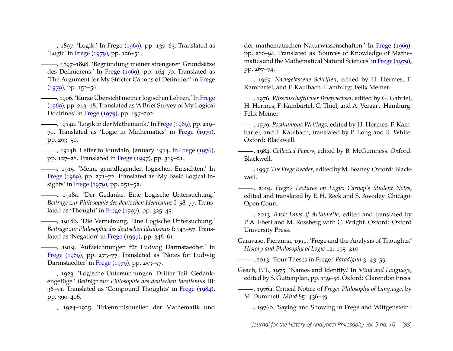<span id="page-33-7"></span>, 1897. 'Logik.' In [Frege](#page-33-19) [\(1969\)](#page-33-19), pp. 137–63. Translated as 'Logic' in [Frege](#page-33-11) [\(1979\)](#page-33-11), pp. 126–51.

<span id="page-33-13"></span>, 1897–1898. 'Begründung meiner strengeren Grundsätze des Definierens.' In [Frege](#page-33-19) [\(1969\)](#page-33-19), pp. 164–70. Translated as 'The Argument for My Stricter Canons of Definition' in [Frege](#page-33-11) [\(1979\)](#page-33-11), pp. 152–56.

<span id="page-33-6"></span>, 1906. 'Kurze Übersicht meiner logischen Lehren.' In [Frege](#page-33-19) [\(1969\)](#page-33-19), pp. 213–18. Translated as 'A Brief Survey of My Logical Doctrines' in [Frege](#page-33-11) [\(1979\)](#page-33-11), pp. 197–202.

<span id="page-33-1"></span>, 1914a. 'Logik in derMathematik.' In [Frege](#page-33-19) [\(1969\)](#page-33-19), pp. 219– 70. Translated as 'Logic in Mathematics' in [Frege](#page-33-11) [\(1979\)](#page-33-11), pp. 203–50.

<span id="page-33-2"></span>, 1914b. Letter to Jourdain, January 1914. In [Frege](#page-33-20) [\(1976\)](#page-33-20), pp. 127–28. Translated in [Frege](#page-33-12) [\(1997\)](#page-33-12), pp. 319–21.

<span id="page-33-14"></span>, 1915. 'Meine grundlegenden logischen Einsichten.' In [Frege](#page-33-19) [\(1969\)](#page-33-19), pp. 271–72. Translated as 'My Basic Logical Insights' in [Frege](#page-33-11) [\(1979\)](#page-33-11), pp. 251–52.

<span id="page-33-15"></span>, 1918a. 'Der Gedanke. Eine Logische Untersuchung.' *Beiträge zur Philosophie des deutschen Idealismus* I: 58–77. Translated as 'Thought' in [Frege](#page-33-12) [\(1997\)](#page-33-12), pp. 325–45.

<span id="page-33-3"></span>, 1918b. 'Die Verneinung. Eine Logische Untersuchung.' *Beiträge zur Philosophie des deutschen Idealismus*I: 143–57. Translated as 'Negation' in [Frege](#page-33-12) [\(1997\)](#page-33-12), pp. 346–61.

<span id="page-33-0"></span>, 1919. 'Aufzeichnungen für Ludwig Darmstaedter.' In [Frege](#page-33-19) [\(1969\)](#page-33-19), pp. 273–77. Translated as 'Notes for Ludwig Darmstaedter' in [Frege](#page-33-11) [\(1979\)](#page-33-11), pp. 253–57.

<span id="page-33-4"></span>, 1923. 'Logische Untersuchungen. Dritter Teil: Gedankengefüge.' *Beiträge zur Philosophie des deutschen Idealismus* III: 36–51. Translated as 'Compound Thoughts' in [Frege](#page-33-22) [\(1984\)](#page-33-22), pp. 390–406.

<span id="page-33-8"></span>, 1924–1925. 'Erkenntnisquellen der Mathematik und

der mathematischen Naturwissenschaften.' In [Frege](#page-33-19) [\(1969\)](#page-33-19), pp. 286–94. Translated as 'Sources of Knowledge of Mathematics and the Mathematical Natural Sciences' in [Frege](#page-33-11) [\(1979\)](#page-33-11), pp. 267–74.

<span id="page-33-19"></span>, 1969. *Nachgelassene Schriften*, edited by H. Hermes, F. Kambartel, and F. Kaulbach. Hamburg: Felix Meiner.

<span id="page-33-20"></span>, 1976. *Wissenschaftlicher Briefwechsel*, edited by G. Gabriel, H. Hermes, F. Kambartel, C. Thiel, and A. Veraart. Hamburg: Felix Meiner.

<span id="page-33-11"></span>, 1979. *Posthumous Writings*, edited by H. Hermes, F. Kambartel, and F. Kaulbach, translated by P. Long and R. White. Oxford: Blackwell.

<span id="page-33-22"></span>, 1984. *Collected Papers*, edited by B. McGuinness. Oxford: Blackwell.

<span id="page-33-12"></span>, 1997.*The Frege Reader*, edited byM. Beaney. Oxford: Blackwell.

<span id="page-33-5"></span>, 2004. *Frege's Lectures on Logic: Carnap's Student Notes*, edited and translated by E. H. Reck and S. Awodey. Chicago: Open Court.

<span id="page-33-21"></span>, 2013. *Basic Laws of Arithmetic*, edited and translated by P. A. Ebert and M. Rossberg with C. Wright. Oxford: Oxford University Press.

<span id="page-33-9"></span>Garavaso, Pieranna, 1991. 'Frege and the Analysis of Thoughts.' *History and Philosophy of Logic* 12: 195–210.

<span id="page-33-10"></span>, 2013. 'Four Theses in Frege.' *Paradigmi* 3: 43–59.

<span id="page-33-16"></span>Geach, P. T., 1975. 'Names and Identity.' In *Mind and Language*, edited by S. Guttenplan, pp. 139–58. Oxford: Clarendon Press.

<span id="page-33-17"></span>, 1976a. Critical Notice of *Frege: Philosophy of Language*, by M. Dummett. *Mind* 85: 436–49.

<span id="page-33-18"></span>, 1976b. 'Saying and Showing in Frege and Wittgenstein.'